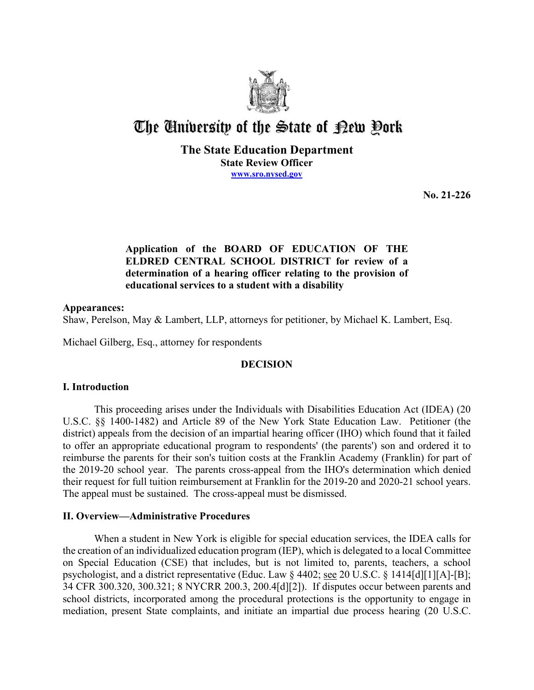

# The University of the State of Pew Pork

**The State Education Department State Review Officer [www.sro.nysed.gov](http://www.sro.nysed.gov/)** 

**No. 21-226** 

# **Application of the BOARD OF EDUCATION OF THE ELDRED CENTRAL SCHOOL DISTRICT for review of a determination of a hearing officer relating to the provision of educational services to a student with a disability**

## **Appearances:**

Shaw, Perelson, May & Lambert, LLP, attorneys for petitioner, by Michael K. Lambert, Esq.

Michael Gilberg, Esq., attorney for respondents

# **DECISION**

## **I. Introduction**

 This proceeding arises under the Individuals with Disabilities Education Act (IDEA) (20 reimburse the parents for their son's tuition costs at the Franklin Academy (Franklin) for part of U.S.C. §§ 1400-1482) and Article 89 of the New York State Education Law. Petitioner (the district) appeals from the decision of an impartial hearing officer (IHO) which found that it failed to offer an appropriate educational program to respondents' (the parents') son and ordered it to the 2019-20 school year. The parents cross-appeal from the IHO's determination which denied their request for full tuition reimbursement at Franklin for the 2019-20 and 2020-21 school years. The appeal must be sustained. The cross-appeal must be dismissed.

# **II. Overview—Administrative Procedures**

 the creation of an individualized education program (IEP), which is delegated to a local Committee on Special Education (CSE) that includes, but is not limited to, parents, teachers, a school When a student in New York is eligible for special education services, the IDEA calls for psychologist, and a district representative (Educ. Law § 4402; see 20 U.S.C. § 1414[d][1][A]-[B]; 34 CFR 300.320, 300.321; 8 NYCRR 200.3, 200.4[d][2]). If disputes occur between parents and school districts, incorporated among the procedural protections is the opportunity to engage in mediation, present State complaints, and initiate an impartial due process hearing (20 U.S.C.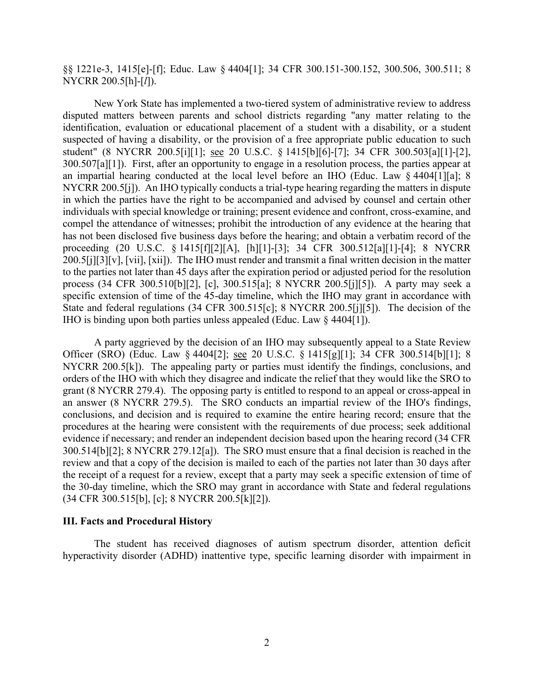§§ 1221e-3, 1415[e]-[f]; Educ. Law § 4404[1]; 34 CFR 300.151-300.152, 300.506, 300.511; 8 NYCRR 200.5[h]-[*l*]).

 disputed matters between parents and school districts regarding "any matter relating to the 300.507[a][1]). First, after an opportunity to engage in a resolution process, the parties appear at NYCRR 200.5[j]). An IHO typically conducts a trial-type hearing regarding the matters in dispute 200.5[j][3][v], [vii], [xii]). The IHO must render and transmit a final written decision in the matter process (34 CFR 300.510[b][2], [c], 300.515[a]; 8 NYCRR 200.5[j][5]). A party may seek a IHO is binding upon both parties unless appealed (Educ. Law § 4404[1]). New York State has implemented a two-tiered system of administrative review to address identification, evaluation or educational placement of a student with a disability, or a student suspected of having a disability, or the provision of a free appropriate public education to such student" (8 NYCRR 200.5[i][1]; see 20 U.S.C. § 1415[b][6]-[7]; 34 CFR 300.503[a][1]-[2], an impartial hearing conducted at the local level before an IHO (Educ. Law § 4404[1][a]; 8 in which the parties have the right to be accompanied and advised by counsel and certain other individuals with special knowledge or training; present evidence and confront, cross-examine, and compel the attendance of witnesses; prohibit the introduction of any evidence at the hearing that has not been disclosed five business days before the hearing; and obtain a verbatim record of the proceeding (20 U.S.C. § 1415[f][2][A], [h][1]-[3]; 34 CFR 300.512[a][1]-[4]; 8 NYCRR to the parties not later than 45 days after the expiration period or adjusted period for the resolution specific extension of time of the 45-day timeline, which the IHO may grant in accordance with State and federal regulations (34 CFR 300.515[c]; 8 NYCRR 200.5[j][5]). The decision of the

Officer (SRO) (Educ. Law § 4404[2]; <u>see</u> 20 U.S.C. § 1415[g][1]; 34 CFR 300.514[b][1]; 8 NYCRR 200.5[k]). The appealing party or parties must identify the findings, conclusions, and 300.514[b][2]; 8 NYCRR 279.12[a]). The SRO must ensure that a final decision is reached in the review and that a copy of the decision is mailed to each of the parties not later than 30 days after A party aggrieved by the decision of an IHO may subsequently appeal to a State Review orders of the IHO with which they disagree and indicate the relief that they would like the SRO to grant (8 NYCRR 279.4). The opposing party is entitled to respond to an appeal or cross-appeal in an answer (8 NYCRR 279.5). The SRO conducts an impartial review of the IHO's findings, conclusions, and decision and is required to examine the entire hearing record; ensure that the procedures at the hearing were consistent with the requirements of due process; seek additional evidence if necessary; and render an independent decision based upon the hearing record (34 CFR the receipt of a request for a review, except that a party may seek a specific extension of time of the 30-day timeline, which the SRO may grant in accordance with State and federal regulations (34 CFR 300.515[b], [c]; 8 NYCRR 200.5[k][2]).

## **III. Facts and Procedural History**

The student has received diagnoses of autism spectrum disorder, attention deficit hyperactivity disorder (ADHD) inattentive type, specific learning disorder with impairment in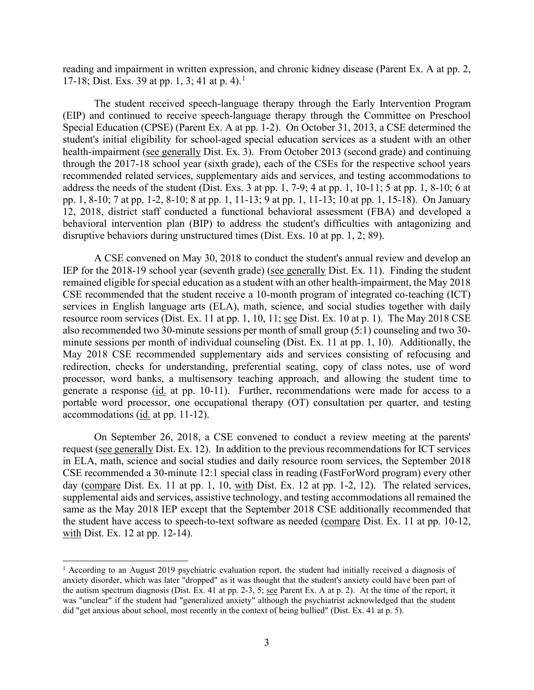reading and impairment in written expression, and chronic kidney disease (Parent Ex. A at pp. 2, 17-18; Dist. Exs. 39 at pp. 1, 3; 4[1](#page-2-0) at p. 4).<sup>1</sup>

 The student received speech-language therapy through the Early Intervention Program Special Education (CPSE) (Parent Ex. A at pp. 1-2). On October 31, 2013, a CSE determined the student's initial eligibility for school-aged special education services as a student with an other health-impairment (see generally Dist. Ex. 3). From October 2013 (second grade) and continuing recommended related services, supplementary aids and services, and testing accommodations to address the needs of the student (Dist. Exs. 3 at pp. 1, 7-9; 4 at pp. 1, 10-11; 5 at pp. 1, 8-10; 6 at pp. 1, 8-10; 7 at pp. 1-2, 8-10; 8 at pp. 1, 11-13; 9 at pp. 1, 11-13; 10 at pp. 1, 15-18). On January disruptive behaviors during unstructured times (Dist. Exs. 10 at pp. 1, 2; 89). (EIP) and continued to receive speech-language therapy through the Committee on Preschool through the 2017-18 school year (sixth grade), each of the CSEs for the respective school years 12, 2018, district staff conducted a functional behavioral assessment (FBA) and developed a behavioral intervention plan (BIP) to address the student's difficulties with antagonizing and

IEP for the 2018-19 school year (seventh grade) (see generally Dist. Ex. 11). Finding the student resource room services (Dist. Ex. 11 at pp. 1, 10, 11; <u>see</u> Dist. Ex. 10 at p. 1). The May 2018 CSE minute sessions per month of individual counseling (Dist. Ex. 11 at pp. 1, 10). Additionally, the generate a response (id. at pp. 10-11). Further, recommendations were made for access to a portable word processor, one occupational therapy (OT) consultation per quarter, and testing accommodations (*id.* at pp. 11-12). A CSE convened on May 30, 2018 to conduct the student's annual review and develop an remained eligible for special education as a student with an other health-impairment, the May 2018 CSE recommended that the student receive a 10-month program of integrated co-teaching (ICT) services in English language arts (ELA), math, science, and social studies together with daily also recommended two 30-minute sessions per month of small group (5:1) counseling and two 30- May 2018 CSE recommended supplementary aids and services consisting of refocusing and redirection, checks for understanding, preferential seating, copy of class notes, use of word processor, word banks, a multisensory teaching approach, and allowing the student time to

 On September 26, 2018, a CSE convened to conduct a review meeting at the parents' request (see generally Dist. Ex. 12). In addition to the previous recommendations for ICT services CSE recommended a 30-minute 12:1 special class in reading (FastForWord program) every other day (compare Dist. Ex. 11 at pp. 1, 10, with Dist. Ex. 12 at pp. 1-2, 12). The related services, same as the May 2018 IEP except that the September 2018 CSE additionally recommended that in ELA, math, science and social studies and daily resource room services, the September 2018 supplemental aids and services, assistive technology, and testing accommodations all remained the the student have access to speech-to-text software as needed (compare Dist. Ex. 11 at pp. 10-12, with Dist. Ex. 12 at pp. 12-14).

<span id="page-2-0"></span> anxiety disorder, which was later "dropped" as it was thought that the student's anxiety could have been part of the autism spectrum diagnosis (Dist. Ex. 41 at pp. 2-3, 5; see Parent Ex. A at p. 2). At the time of the report, it did "get anxious about school, most recently in the context of being bullied" (Dist. Ex. 41 at p. 5). <sup>1</sup> According to an August 2019 psychiatric evaluation report, the student had initially received a diagnosis of was "unclear" if the student had "generalized anxiety" although the psychiatrist acknowledged that the student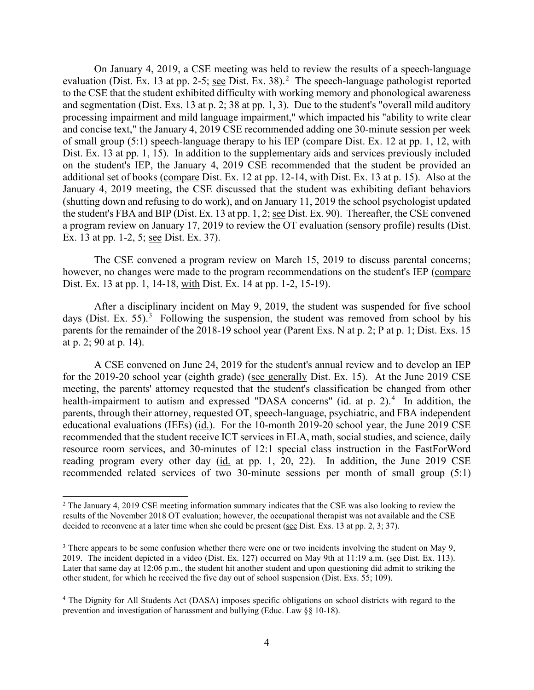evaluation (Dist. Ex. 13 at pp. 2-5; see Dist. Ex. 38).<sup>2</sup> The speech-language pathologist reported and segmentation (Dist. Exs. 13 at p. 2; 38 at pp. 1, 3). Due to the student's "overall mild auditory of small group (5:1) speech-language therapy to his IEP (compare Dist. Ex. 12 at pp. 1, 12, with Dist. Ex. 13 at pp. 1, 15). In addition to the supplementary aids and services previously included additional set of books (compare Dist. Ex. 12 at pp. 12-14, with Dist. Ex. 13 at p. 15). Also at the the student's FBA and BIP (Dist. Ex. 13 at pp. 1, 2; <u>see</u> Dist. Ex. 90). Thereafter, the CSE convened On January 4, 2019, a CSE meeting was held to review the results of a speech-language to the CSE that the student exhibited difficulty with working memory and phonological awareness processing impairment and mild language impairment," which impacted his "ability to write clear and concise text," the January 4, 2019 CSE recommended adding one 30-minute session per week on the student's IEP, the January 4, 2019 CSE recommended that the student be provided an January 4, 2019 meeting, the CSE discussed that the student was exhibiting defiant behaviors (shutting down and refusing to do work), and on January 11, 2019 the school psychologist updated a program review on January 17, 2019 to review the OT evaluation (sensory profile) results (Dist. Ex. 13 at pp. 1-2, 5; see Dist. Ex. 37).

however, no changes were made to the program recommendations on the student's IEP (compare Dist. Ex. 13 at pp. 1, 14-18, with Dist. Ex. 14 at pp. 1-2, 15-19). The CSE convened a program review on March 15, 2019 to discuss parental concerns;

days (Dist. Ex. 55). $3$  Following the suspension, the student was removed from school by his parents for the remainder of the 2018-19 school year (Parent Exs. N at p. 2; P at p. 1; Dist. Exs. 15 After a disciplinary incident on May 9, 2019, the student was suspended for five school at p. 2; 90 at p. 14).

for the 2019-20 school year (eighth grade) (see generally Dist. Ex. 15). At the June 2019 CSE health-impairment to autism and expressed "DASA concerns" (id. at p. 2).<sup>[4](#page-3-2)</sup> In addition, the parents, through their attorney, requested OT, speech-language, psychiatric, and FBA independent educational evaluations (IEEs) (id.). For the 10-month 2019-20 school year, the June 2019 CSE reading program every other day (id. at pp. 1, 20, 22). In addition, the June 2019 CSE A CSE convened on June 24, 2019 for the student's annual review and to develop an IEP meeting, the parents' attorney requested that the student's classification be changed from other recommended that the student receive ICT services in ELA, math, social studies, and science, daily resource room services, and 30-minutes of 12:1 special class instruction in the FastForWord recommended related services of two 30-minute sessions per month of small group (5:1)

<span id="page-3-0"></span><sup>&</sup>lt;sup>2</sup> The January 4, 2019 CSE meeting information summary indicates that the CSE was also looking to review the results of the November 2018 OT evaluation; however, the occupational therapist was not available and the CSE decided to reconvene at a later time when she could be present (see Dist. Exs. 13 at pp. 2, 3; 37).

<span id="page-3-1"></span><sup>2019.</sup> The incident depicted in a video (Dist. Ex. 127) occurred on May 9th at 11:19 a.m. (see Dist. Ex. 113). <sup>3</sup> There appears to be some confusion whether there were one or two incidents involving the student on May 9, Later that same day at 12:06 p.m., the student hit another student and upon questioning did admit to striking the other student, for which he received the five day out of school suspension (Dist. Exs. 55; 109).

<span id="page-3-2"></span><sup>4</sup> The Dignity for All Students Act (DASA) imposes specific obligations on school districts with regard to the prevention and investigation of harassment and bullying (Educ. Law §§ 10-18).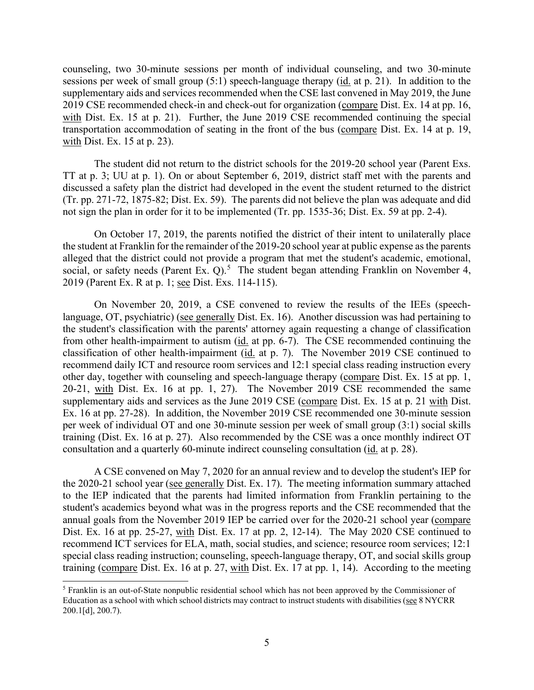sessions per week of small group (5:1) speech-language therapy (*id.* at p. 21). In addition to the 2019 CSE recommended check-in and check-out for organization (compare Dist. Ex. 14 at pp. 16, with Dist. Ex.  $15$  at p.  $23$ ). counseling, two 30-minute sessions per month of individual counseling, and two 30-minute supplementary aids and services recommended when the CSE last convened in May 2019, the June with Dist. Ex. 15 at p. 21). Further, the June 2019 CSE recommended continuing the special transportation accommodation of seating in the front of the bus (compare Dist. Ex. 14 at p. 19,

 TT at p. 3; UU at p. 1). On or about September 6, 2019, district staff met with the parents and (Tr. pp. 271-72, 1875-82; Dist. Ex. 59). The parents did not believe the plan was adequate and did The student did not return to the district schools for the 2019-20 school year (Parent Exs. discussed a safety plan the district had developed in the event the student returned to the district not sign the plan in order for it to be implemented (Tr. pp. 1535-36; Dist. Ex. 59 at pp. 2-4).

 alleged that the district could not provide a program that met the student's academic, emotional, social, or safety needs (Parent Ex.  $Q$ ).<sup>5</sup> The student began attending Franklin on November 4, 2019 (Parent Ex. R at p. 1; see Dist. Exs. 114-115). On October 17, 2019, the parents notified the district of their intent to unilaterally place the student at Franklin for the remainder of the 2019-20 school year at public expense as the parents

language, OT, psychiatric) (see generally Dist. Ex. 16). Another discussion was had pertaining to the student's classification with the parents' attorney again requesting a change of classification from other health-impairment to autism (id. at pp. 6-7). The CSE recommended continuing the classification of other health-impairment (id. at p. 7). The November 2019 CSE continued to Ex. 16 at pp. 27-28). In addition, the November 2019 CSE recommended one 30-minute session training (Dist. Ex. 16 at p. 27). Also recommended by the CSE was a once monthly indirect OT consultation and a quarterly 60-minute indirect counseling consultation (id. at p. 28). On November 20, 2019, a CSE convened to review the results of the IEEs (speechrecommend daily ICT and resource room services and 12:1 special class reading instruction every other day, together with counseling and speech-language therapy (compare Dist. Ex. 15 at pp. 1, 20-21, with Dist. Ex. 16 at pp. 1, 27). The November 2019 CSE recommended the same supplementary aids and services as the June 2019 CSE (compare Dist. Ex. 15 at p. 21 with Dist. per week of individual OT and one 30-minute session per week of small group (3:1) social skills

 A CSE convened on May 7, 2020 for an annual review and to develop the student's IEP for the 2020-21 school year (see generally Dist. Ex. 17). The meeting information summary attached annual goals from the November 2019 IEP be carried over for the 2020-21 school year (compare Dist. Ex. 16 at pp. 25-27, with Dist. Ex. 17 at pp. 2, 12-14). The May 2020 CSE continued to recommend ICT services for ELA, math, social studies, and science; resource room services; 12:1 special class reading instruction; counseling, speech-language therapy, OT, and social skills group training (compare Dist. Ex. 16 at p. 27, with Dist. Ex. 17 at pp. 1, 14). According to the meeting to the IEP indicated that the parents had limited information from Franklin pertaining to the student's academics beyond what was in the progress reports and the CSE recommended that the

<span id="page-4-0"></span><sup>5</sup> Franklin is an out-of-State nonpublic residential school which has not been approved by the Commissioner of Education as a school with which school districts may contract to instruct students with disabilities (see 8 NYCRR 200.1[d], 200.7).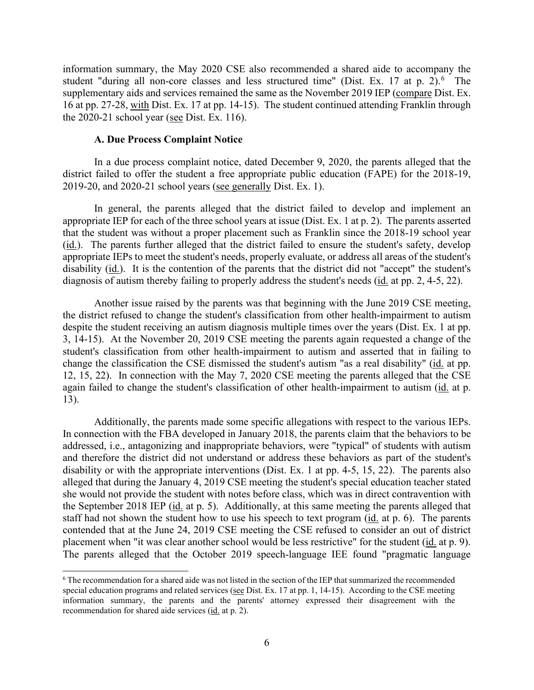information summary, the May 2020 CSE also recommended a shared aide to accompany the student "during all non-core classes and less structured time" (Dist. Ex. 17 at p. 2).<sup>6</sup> The supplementary aids and services remained the same as the November 2019 IEP (compare Dist. Ex. 16 at pp. 27-28, with Dist. Ex. 17 at pp. 14-15). The student continued attending Franklin through the  $2020-21$  school year (see Dist. Ex. 116).

#### **A. Due Process Complaint Notice**

2019-20, and 2020-21 school years (see generally Dist. Ex. 1). In a due process complaint notice, dated December 9, 2020, the parents alleged that the district failed to offer the student a free appropriate public education (FAPE) for the 2018-19,

diagnosis of autism thereby failing to properly address the student's needs (id. at pp. 2, 4-5, 22). In general, the parents alleged that the district failed to develop and implement an appropriate IEP for each of the three school years at issue (Dist. Ex. 1 at p. 2). The parents asserted that the student was without a proper placement such as Franklin since the 2018-19 school year (id.). The parents further alleged that the district failed to ensure the student's safety, develop appropriate IEPs to meet the student's needs, properly evaluate, or address all areas of the student's disability (id.). It is the contention of the parents that the district did not "accept" the student's

 despite the student receiving an autism diagnosis multiple times over the years (Dist. Ex. 1 at pp. 3, 14-15). At the November 20, 2019 CSE meeting the parents again requested a change of the Another issue raised by the parents was that beginning with the June 2019 CSE meeting, the district refused to change the student's classification from other health-impairment to autism student's classification from other health-impairment to autism and asserted that in failing to change the classification the CSE dismissed the student's autism "as a real disability" (id. at pp. 12, 15, 22). In connection with the May 7, 2020 CSE meeting the parents alleged that the CSE again failed to change the student's classification of other health-impairment to autism (id. at p. 13).

Additionally, the parents made some specific allegations with respect to the various IEPs. alleged that during the January 4, 2019 CSE meeting the student's special education teacher stated the September 2018 IEP (id. at p. 5). Additionally, at this same meeting the parents alleged that staff had not shown the student how to use his speech to text program (*id.* at p. 6). The parents placement when "it was clear another school would be less restrictive" for the student (id. at p. 9). In connection with the FBA developed in January 2018, the parents claim that the behaviors to be addressed, i.e., antagonizing and inappropriate behaviors, were "typical" of students with autism and therefore the district did not understand or address these behaviors as part of the student's disability or with the appropriate interventions (Dist. Ex. 1 at pp. 4-5, 15, 22). The parents also she would not provide the student with notes before class, which was in direct contravention with contended that at the June 24, 2019 CSE meeting the CSE refused to consider an out of district The parents alleged that the October 2019 speech-language IEE found "pragmatic language

<span id="page-5-0"></span>recommendation for shared aide services (id. at p. 2). 6 The recommendation for a shared aide was not listed in the section of the IEP that summarized the recommended special education programs and related services (see Dist. Ex. 17 at pp. 1, 14-15). According to the CSE meeting information summary, the parents and the parents' attorney expressed their disagreement with the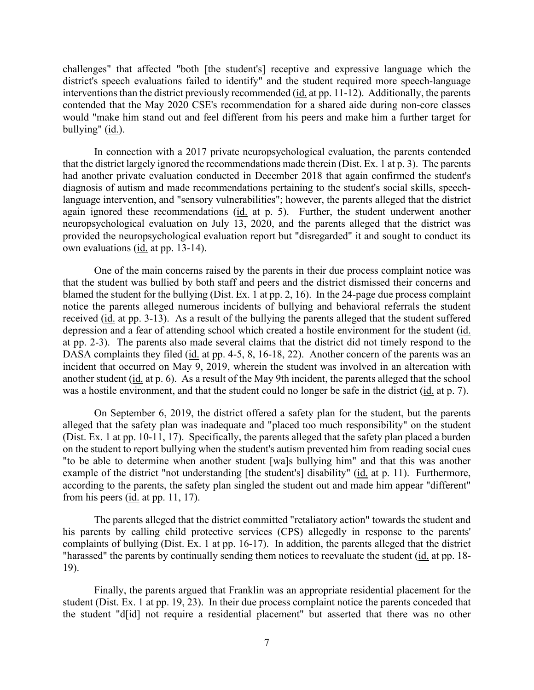interventions than the district previously recommended (*id.* at pp. 11-12). Additionally, the parents challenges" that affected "both [the student's] receptive and expressive language which the district's speech evaluations failed to identify" and the student required more speech-language contended that the May 2020 CSE's recommendation for a shared aide during non-core classes would "make him stand out and feel different from his peers and make him a further target for bullying" (id.).

 that the district largely ignored the recommendations made therein (Dist. Ex. 1 at p. 3). The parents again ignored these recommendations (id. at p. 5). Further, the student underwent another In connection with a 2017 private neuropsychological evaluation, the parents contended had another private evaluation conducted in December 2018 that again confirmed the student's diagnosis of autism and made recommendations pertaining to the student's social skills, speechlanguage intervention, and "sensory vulnerabilities"; however, the parents alleged that the district neuropsychological evaluation on July 13, 2020, and the parents alleged that the district was provided the neuropsychological evaluation report but "disregarded" it and sought to conduct its own evaluations (id. at pp. 13-14).

DASA complaints they filed (id. at pp. 4-5, 8, 16-18, 22). Another concern of the parents was an another student (id. at p. 6). As a result of the May 9th incident, the parents alleged that the school was a hostile environment, and that the student could no longer be safe in the district (*id.* at p. 7). One of the main concerns raised by the parents in their due process complaint notice was that the student was bullied by both staff and peers and the district dismissed their concerns and blamed the student for the bullying (Dist. Ex. 1 at pp. 2, 16). In the 24-page due process complaint notice the parents alleged numerous incidents of bullying and behavioral referrals the student received (id. at pp. 3-13). As a result of the bullying the parents alleged that the student suffered depression and a fear of attending school which created a hostile environment for the student (id. at pp. 2-3). The parents also made several claims that the district did not timely respond to the incident that occurred on May 9, 2019, wherein the student was involved in an altercation with

 alleged that the safety plan was inadequate and "placed too much responsibility" on the student (Dist. Ex. 1 at pp. 10-11, 17). Specifically, the parents alleged that the safety plan placed a burden example of the district "not understanding [the student's] disability" (id. at p. 11). Furthermore, On September 6, 2019, the district offered a safety plan for the student, but the parents on the student to report bullying when the student's autism prevented him from reading social cues "to be able to determine when another student [wa]s bullying him" and that this was another according to the parents, the safety plan singled the student out and made him appear "different" from his peers  $(id. at pp. 11, 17)$ .

 complaints of bullying (Dist. Ex. 1 at pp. 16-17). In addition, the parents alleged that the district The parents alleged that the district committed "retaliatory action" towards the student and his parents by calling child protective services (CPS) allegedly in response to the parents' "harassed" the parents by continually sending them notices to reevaluate the student (id. at pp. 18-19).

 student (Dist. Ex. 1 at pp. 19, 23). In their due process complaint notice the parents conceded that Finally, the parents argued that Franklin was an appropriate residential placement for the the student "d[id] not require a residential placement" but asserted that there was no other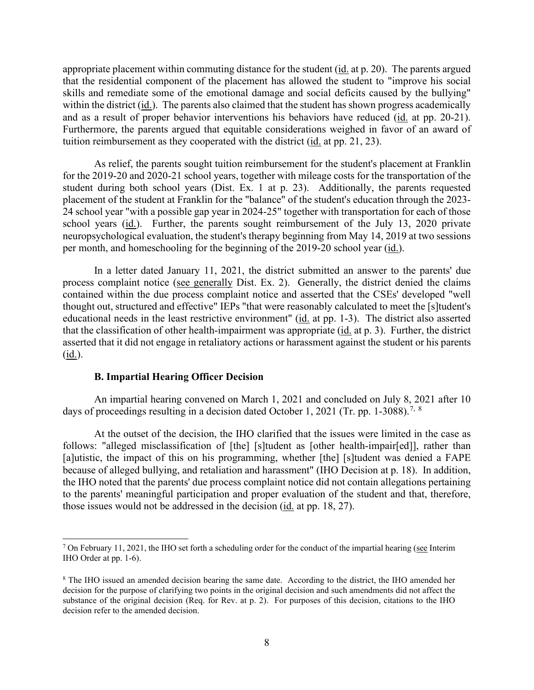within the district (*id.*). The parents also claimed that the student has shown progress academically and as a result of proper behavior interventions his behaviors have reduced (*id.* at pp. 20-21). appropriate placement within commuting distance for the student (id. at p. 20). The parents argued that the residential component of the placement has allowed the student to "improve his social skills and remediate some of the emotional damage and social deficits caused by the bullying" Furthermore, the parents argued that equitable considerations weighed in favor of an award of tuition reimbursement as they cooperated with the district (id. at pp. 21, 23).

 student during both school years (Dist. Ex. 1 at p. 23). Additionally, the parents requested school years (id.). Further, the parents sought reimbursement of the July 13, 2020 private per month, and homeschooling for the beginning of the 2019-20 school year (id.). As relief, the parents sought tuition reimbursement for the student's placement at Franklin for the 2019-20 and 2020-21 school years, together with mileage costs for the transportation of the placement of the student at Franklin for the "balance" of the student's education through the 2023- 24 school year "with a possible gap year in 2024-25" together with transportation for each of those neuropsychological evaluation, the student's therapy beginning from May 14, 2019 at two sessions

 In a letter dated January 11, 2021, the district submitted an answer to the parents' due process complaint notice (see generally Dist. Ex. 2). Generally, the district denied the claims educational needs in the least restrictive environment" (id. at pp. 1-3). The district also asserted asserted that it did not engage in retaliatory actions or harassment against the student or his parents contained within the due process complaint notice and asserted that the CSEs' developed "well thought out, structured and effective" IEPs "that were reasonably calculated to meet the [s]tudent's that the classification of other health-impairment was appropriate (id. at p. 3). Further, the district  $(id.)$ .

### **B. Impartial Hearing Officer Decision**

days of proceedings resulting in a decision dated October 1, 2021 (Tr. pp. 1-3088).<sup>[7](#page-7-0), 8</sup> An impartial hearing convened on March 1, 2021 and concluded on July 8, 2021 after 10

 At the outset of the decision, the IHO clarified that the issues were limited in the case as because of alleged bullying, and retaliation and harassment" (IHO Decision at p. 18). In addition, follows: "alleged misclassification of [the] [s]tudent as [other health-impair[ed]], rather than [a]utistic, the impact of this on his programming, whether [the] [s]tudent was denied a FAPE the IHO noted that the parents' due process complaint notice did not contain allegations pertaining to the parents' meaningful participation and proper evaluation of the student and that, therefore, those issues would not be addressed in the decision (id. at pp. 18, 27).

<span id="page-7-0"></span> $7$  On February 11, 2021, the IHO set forth a scheduling order for the conduct of the impartial hearing (see Interim IHO Order at pp. 1-6).

<span id="page-7-1"></span> substance of the original decision (Req. for Rev. at p. 2). For purposes of this decision, citations to the IHO <sup>8</sup> The IHO issued an amended decision bearing the same date. According to the district, the IHO amended her decision for the purpose of clarifying two points in the original decision and such amendments did not affect the decision refer to the amended decision.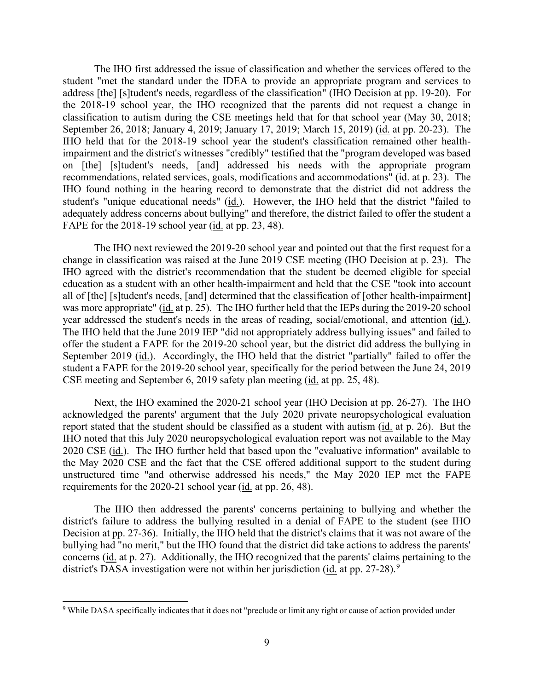The IHO first addressed the issue of classification and whether the services offered to the address [the] [s]tudent's needs, regardless of the classification" (IHO Decision at pp. 19-20). For the 2018-19 school year, the IHO recognized that the parents did not request a change in September 26, 2018; January 4, 2019; January 17, 2019; March 15, 2019) (id. at pp. 20-23). The recommendations, related services, goals, modifications and accommodations" (id. at p. 23). The student's "unique educational needs" (id.). However, the IHO held that the district "failed to FAPE for the 2018-19 school year  $(id.$  at pp. 23, 48). student "met the standard under the IDEA to provide an appropriate program and services to classification to autism during the CSE meetings held that for that school year (May 30, 2018; IHO held that for the 2018-19 school year the student's classification remained other healthimpairment and the district's witnesses "credibly" testified that the "program developed was based on [the] [s]tudent's needs, [and] addressed his needs with the appropriate program IHO found nothing in the hearing record to demonstrate that the district did not address the adequately address concerns about bullying" and therefore, the district failed to offer the student a

 The IHO next reviewed the 2019-20 school year and pointed out that the first request for a change in classification was raised at the June 2019 CSE meeting (IHO Decision at p. 23). The September 2019 (id.). Accordingly, the IHO held that the district "partially" failed to offer the IHO agreed with the district's recommendation that the student be deemed eligible for special education as a student with an other health-impairment and held that the CSE "took into account all of [the] [s]tudent's needs, [and] determined that the classification of [other health-impairment] was more appropriate" (id. at p. 25). The IHO further held that the IEPs during the 2019-20 school year addressed the student's needs in the areas of reading, social/emotional, and attention (id.). The IHO held that the June 2019 IEP "did not appropriately address bullying issues" and failed to offer the student a FAPE for the 2019-20 school year, but the district did address the bullying in student a FAPE for the 2019-20 school year, specifically for the period between the June 24, 2019 CSE meeting and September 6, 2019 safety plan meeting (id. at pp. 25, 48).

 Next, the IHO examined the 2020-21 school year (IHO Decision at pp. 26-27). The IHO acknowledged the parents' argument that the July 2020 private neuropsychological evaluation report stated that the student should be classified as a student with autism (id. at p. 26). But the 2020 CSE (*id.*). The IHO further held that based upon the "evaluative information" available to IHO noted that this July 2020 neuropsychological evaluation report was not available to the May the May 2020 CSE and the fact that the CSE offered additional support to the student during unstructured time "and otherwise addressed his needs," the May 2020 IEP met the FAPE requirements for the 2020-21 school year (id. at pp. 26, 48).

district's failure to address the bullying resulted in a denial of FAPE to the student (see IHO Decision at pp. 27-36). Initially, the IHO held that the district's claims that it was not aware of the concerns (id. at p. 27). Additionally, the IHO recognized that the parents' claims pertaining to the The IHO then addressed the parents' concerns pertaining to bullying and whether the bullying had "no merit," but the IHO found that the district did take actions to address the parents' district's DASA investigation were not within her jurisdiction (id. at pp. 27-28).<sup>9</sup>

<span id="page-8-0"></span><sup>9</sup> While DASA specifically indicates that it does not "preclude or limit any right or cause of action provided under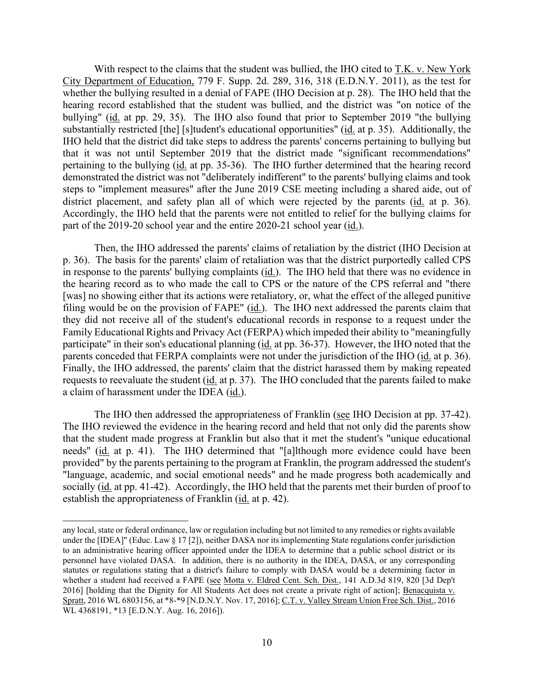With respect to the claims that the student was bullied, the IHO cited to T.K. v. New York City Department of Education, 779 F. Supp. 2d. 289, 316, 318 (E.D.N.Y. 2011), as the test for whether the bullying resulted in a denial of FAPE (IHO Decision at p. 28). The IHO held that the hearing record established that the student was bullied, and the district was "on notice of the bullying" (id. at pp. 29, 35). The IHO also found that prior to September 2019 "the bullying substantially restricted [the] [s]tudent's educational opportunities" (id. at p. 35). Additionally, the pertaining to the bullying (*id.* at pp. 35-36). The IHO further determined that the hearing record district placement, and safety plan all of which were rejected by the parents (id. at p. 36). part of the 2019-20 school year and the entire 2020-21 school year (id.). IHO held that the district did take steps to address the parents' concerns pertaining to bullying but that it was not until September 2019 that the district made "significant recommendations" demonstrated the district was not "deliberately indifferent" to the parents' bullying claims and took steps to "implement measures" after the June 2019 CSE meeting including a shared aide, out of Accordingly, the IHO held that the parents were not entitled to relief for the bullying claims for

 p. 36). The basis for the parents' claim of retaliation was that the district purportedly called CPS in response to the parents' bullying complaints (id.). The IHO held that there was no evidence in filing would be on the provision of FAPE"  $(id)$ . The IHO next addressed the parents claim that they did not receive all of the student's educational records in response to a request under the participate" in their son's educational planning (id. at pp. 36-37). However, the IHO noted that the parents conceded that FERPA complaints were not under the jurisdiction of the IHO (id. at p. 36). requests to reevaluate the student (id. at p. 37). The IHO concluded that the parents failed to make a claim of harassment under the IDEA (id.). Then, the IHO addressed the parents' claims of retaliation by the district (IHO Decision at the hearing record as to who made the call to CPS or the nature of the CPS referral and "there [was] no showing either that its actions were retaliatory, or, what the effect of the alleged punitive Family Educational Rights and Privacy Act (FERPA) which impeded their ability to "meaningfully Finally, the IHO addressed, the parents' claim that the district harassed them by making repeated

 that the student made progress at Franklin but also that it met the student's "unique educational needs" (id. at p. 41). The IHO determined that "[a]lthough more evidence could have been establish the appropriateness of Franklin (*id.* at p. 42). The IHO then addressed the appropriateness of Franklin (see IHO Decision at pp. 37-42). The IHO reviewed the evidence in the hearing record and held that not only did the parents show provided" by the parents pertaining to the program at Franklin, the program addressed the student's "language, academic, and social emotional needs" and he made progress both academically and socially (id. at pp. 41-42). Accordingly, the IHO held that the parents met their burden of proof to

any local, state or federal ordinance, law or regulation including but not limited to any remedies or rights available under the [IDEA]" (Educ. Law § 17 [2]), neither DASA nor its implementing State regulations confer jurisdiction to an administrative hearing officer appointed under the IDEA to determine that a public school district or its personnel have violated DASA. In addition, there is no authority in the IDEA, DASA, or any corresponding statutes or regulations stating that a district's failure to comply with DASA would be a determining factor in whether a student had received a FAPE (see Motta v. Eldred Cent. Sch. Dist., 141 A.D.3d 819, 820 [3d Dep't 2016] [holding that the Dignity for All Students Act does not create a private right of action]; Benacquista v. Spratt, 2016 WL 6803156, at \*8-\*9 [N.D.N.Y. Nov. 17, 2016]; C.T. v. Valley Stream Union Free Sch. Dist., 2016 WL 4368191, \*13 [E.D.N.Y. Aug. 16, 2016]).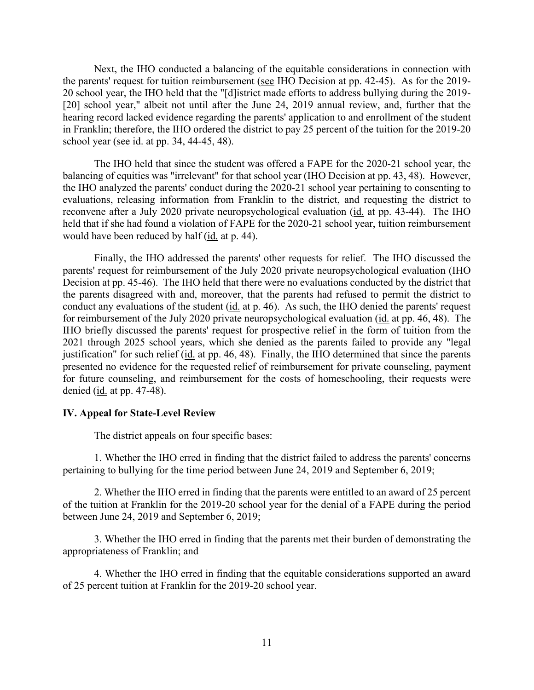20 school year, the IHO held that the "[d]istrict made efforts to address bullying during the 2019- in Franklin; therefore, the IHO ordered the district to pay 25 percent of the tuition for the 2019-20 school year (see id. at pp. 34, 44-45, 48). Next, the IHO conducted a balancing of the equitable considerations in connection with the parents' request for tuition reimbursement (see IHO Decision at pp. 42-45). As for the 2019- [20] school year," albeit not until after the June 24, 2019 annual review, and, further that the hearing record lacked evidence regarding the parents' application to and enrollment of the student

 balancing of equities was "irrelevant" for that school year (IHO Decision at pp. 43, 48). However, The IHO held that since the student was offered a FAPE for the 2020-21 school year, the the IHO analyzed the parents' conduct during the 2020-21 school year pertaining to consenting to evaluations, releasing information from Franklin to the district, and requesting the district to reconvene after a July 2020 private neuropsychological evaluation (id. at pp. 43-44). The IHO held that if she had found a violation of FAPE for the 2020-21 school year, tuition reimbursement would have been reduced by half (id. at p. 44).

 Finally, the IHO addressed the parents' other requests for relief. The IHO discussed the justification" for such relief (*id.* at pp. 46, 48). Finally, the IHO determined that since the parents parents' request for reimbursement of the July 2020 private neuropsychological evaluation (IHO Decision at pp. 45-46). The IHO held that there were no evaluations conducted by the district that the parents disagreed with and, moreover, that the parents had refused to permit the district to conduct any evaluations of the student (id. at p. 46). As such, the IHO denied the parents' request for reimbursement of the July 2020 private neuropsychological evaluation (id. at pp. 46, 48). The IHO briefly discussed the parents' request for prospective relief in the form of tuition from the 2021 through 2025 school years, which she denied as the parents failed to provide any "legal presented no evidence for the requested relief of reimbursement for private counseling, payment for future counseling, and reimbursement for the costs of homeschooling, their requests were denied (id. at pp. 47-48).

#### **IV. Appeal for State-Level Review**

The district appeals on four specific bases:

1. Whether the IHO erred in finding that the district failed to address the parents' concerns pertaining to bullying for the time period between June 24, 2019 and September 6, 2019;

 2. Whether the IHO erred in finding that the parents were entitled to an award of 25 percent of the tuition at Franklin for the 2019-20 school year for the denial of a FAPE during the period between June 24, 2019 and September 6, 2019;

3. Whether the IHO erred in finding that the parents met their burden of demonstrating the appropriateness of Franklin; and

 of 25 percent tuition at Franklin for the 2019-20 school year. 4. Whether the IHO erred in finding that the equitable considerations supported an award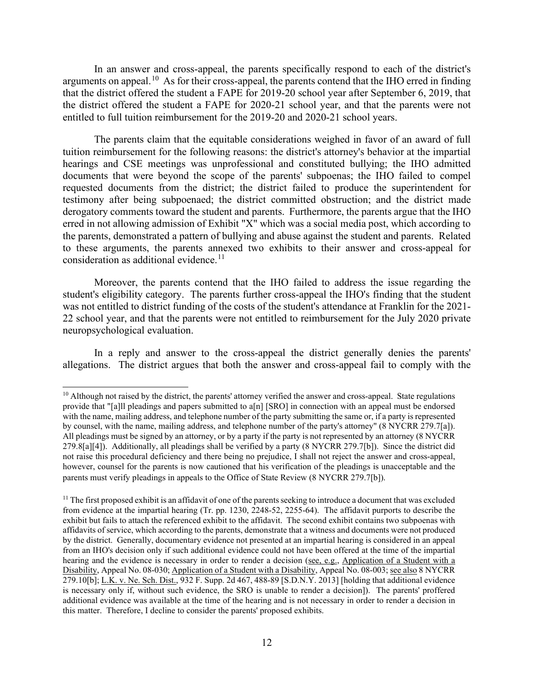arguments on appeal.<sup>[10](#page-11-0)</sup> As for their cross-appeal, the parents contend that the IHO erred in finding that the district offered the student a FAPE for 2019-20 school year after September 6, 2019, that the district offered the student a FAPE for 2020-21 school year, and that the parents were not entitled to full tuition reimbursement for the 2019-20 and 2020-21 school years. In an answer and cross-appeal, the parents specifically respond to each of the district's

 The parents claim that the equitable considerations weighed in favor of an award of full tuition reimbursement for the following reasons: the district's attorney's behavior at the impartial hearings and CSE meetings was unprofessional and constituted bullying; the IHO admitted testimony after being subpoenaed; the district committed obstruction; and the district made derogatory comments toward the student and parents. Furthermore, the parents argue that the IHO erred in not allowing admission of Exhibit "X" which was a social media post, which according to the parents, demonstrated a pattern of bullying and abuse against the student and parents. Related documents that were beyond the scope of the parents' subpoenas; the IHO failed to compel requested documents from the district; the district failed to produce the superintendent for to these arguments, the parents annexed two exhibits to their answer and cross-appeal for consideration as additional evidence.<sup>[11](#page-11-1)</sup>

 student's eligibility category. The parents further cross-appeal the IHO's finding that the student 22 school year, and that the parents were not entitled to reimbursement for the July 2020 private neuropsychological evaluation. Moreover, the parents contend that the IHO failed to address the issue regarding the was not entitled to district funding of the costs of the student's attendance at Franklin for the 2021-

 allegations. The district argues that both the answer and cross-appeal fail to comply with the In a reply and answer to the cross-appeal the district generally denies the parents'

<span id="page-11-0"></span><sup>&</sup>lt;sup>10</sup> Although not raised by the district, the parents' attorney verified the answer and cross-appeal. State regulations with the name, mailing address, and telephone number of the party submitting the same or, if a party is represented by counsel, with the name, mailing address, and telephone number of the party's attorney" (8 NYCRR 279.7[a]). however, counsel for the parents is now cautioned that his verification of the pleadings is unacceptable and the provide that "[a]ll pleadings and papers submitted to a[n] [SRO] in connection with an appeal must be endorsed All pleadings must be signed by an attorney, or by a party if the party is not represented by an attorney (8 NYCRR 279.8[a][4]). Additionally, all pleadings shall be verified by a party (8 NYCRR 279.7[b]). Since the district did not raise this procedural deficiency and there being no prejudice, I shall not reject the answer and cross-appeal, parents must verify pleadings in appeals to the Office of State Review (8 NYCRR 279.7[b]).

<span id="page-11-1"></span> is necessary only if, without such evidence, the SRO is unable to render a decision]). The parents' proffered  $<sup>11</sup>$  The first proposed exhibit is an affidavit of one of the parents seeking to introduce a document that was excluded</sup> from evidence at the impartial hearing (Tr. pp. 1230, 2248-52, 2255-64). The affidavit purports to describe the exhibit but fails to attach the referenced exhibit to the affidavit. The second exhibit contains two subpoenas with affidavits of service, which according to the parents, demonstrate that a witness and documents were not produced by the district. Generally, documentary evidence not presented at an impartial hearing is considered in an appeal from an IHO's decision only if such additional evidence could not have been offered at the time of the impartial hearing and the evidence is necessary in order to render a decision (see, e.g., Application of a Student with a Disability, Appeal No. 08-030; Application of a Student with a Disability, Appeal No. 08-003; see also 8 NYCRR 279.10[b]; L.K. v. Ne. Sch. Dist., 932 F. Supp. 2d 467, 488-89 [S.D.N.Y. 2013] [holding that additional evidence additional evidence was available at the time of the hearing and is not necessary in order to render a decision in this matter. Therefore, I decline to consider the parents' proposed exhibits.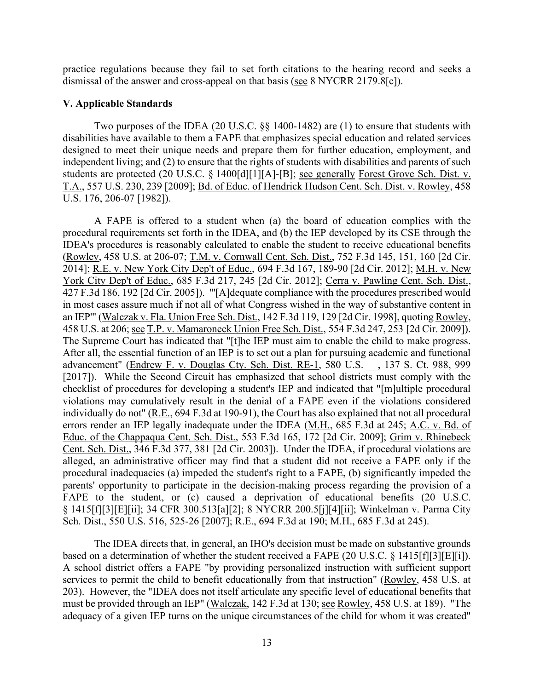practice regulations because they fail to set forth citations to the hearing record and seeks a dismissal of the answer and cross-appeal on that basis (see 8 NYCRR 2179.8[c]).

## **V. Applicable Standards**

Two purposes of the IDEA (20 U.S.C. §§ 1400-1482) are (1) to ensure that students with disabilities have available to them a FAPE that emphasizes special education and related services designed to meet their unique needs and prepare them for further education, employment, and independent living; and (2) to ensure that the rights of students with disabilities and parents of such students are protected (20 U.S.C. § 1400[d][1][A]-[B]; see generally Forest Grove Sch. Dist. v. T.A., 557 U.S. 230, 239 [2009]; Bd. of Educ. of Hendrick Hudson Cent. Sch. Dist. v. Rowley, 458 U.S. 176, 206-07 [1982]).

 A FAPE is offered to a student when (a) the board of education complies with the procedural requirements set forth in the IDEA, and (b) the IEP developed by its CSE through the 2014]; <u>R.E. v. New York City Dep't of Educ.</u>, 694 F.3d 167, 189-90 [2d Cir. 2012]; <u>M.H. v. New</u> 458 U.S. at 206; see T.P. v. Mamaroneck Union Free Sch. Dist., 554 F.3d 247, 253 [2d Cir. 2009]). errors render an IEP legally inadequate under the IDEA (M.H., 685 F.3d at 245; A.C. v. Bd. of parents' opportunity to participate in the decision-making process regarding the provision of a IDEA's procedures is reasonably calculated to enable the student to receive educational benefits (Rowley, 458 U.S. at 206-07; T.M. v. Cornwall Cent. Sch. Dist., 752 F.3d 145, 151, 160 [2d Cir. York City Dep't of Educ., 685 F.3d 217, 245 [2d Cir. 2012]; Cerra v. Pawling Cent. Sch. Dist., 427 F.3d 186, 192 [2d Cir. 2005]). "'[A]dequate compliance with the procedures prescribed would in most cases assure much if not all of what Congress wished in the way of substantive content in an IEP'" (Walczak v. Fla. Union Free Sch. Dist., 142 F.3d 119, 129 [2d Cir. 1998], quoting Rowley, 458 U.S. at 206; <u>see T.P. v. Mamaroneck Union Free Sch. Dist.</u>, 554 F.3d 247, 253 [2d Cir. 2009]).<br>The Supreme Court has indicated that "[t]he IEP must aim to enable the child to make progress.<br>After all, the essential fu advancement" (Endrew F. v. Douglas Cty. Sch. Dist. RE-1, 580 U.S. \_\_, 137 S. Ct. 988, 999 [2017]). While the Second Circuit has emphasized that school districts must comply with the checklist of procedures for developing a student's IEP and indicated that "[m]ultiple procedural violations may cumulatively result in the denial of a FAPE even if the violations considered individually do not" (R.E., 694 F.3d at 190-91), the Court has also explained that not all procedural Educ. of the Chappaqua Cent. Sch. Dist., 553 F.3d 165, 172 [2d Cir. 2009]; Grim v. Rhinebeck Cent. Sch. Dist., 346 F.3d 377, 381 [2d Cir. 2003]). Under the IDEA, if procedural violations are alleged, an administrative officer may find that a student did not receive a FAPE only if the procedural inadequacies (a) impeded the student's right to a FAPE, (b) significantly impeded the FAPE to the student, or (c) caused a deprivation of educational benefits (20 U.S.C. § 1415[f][3][E][ii]; 34 CFR 300.513[a][2]; 8 NYCRR 200.5[j][4][ii]; Winkelman v. Parma City Sch. Dist., 550 U.S. 516, 525-26 [2007]; R.E., 694 F.3d at 190; M.H., 685 F.3d at 245).

based on a determination of whether the student received a FAPE (20 U.S.C.  $\S$  1415[f][3][E][i]). adequacy of a given IEP turns on the unique circumstances of the child for whom it was created" The IDEA directs that, in general, an IHO's decision must be made on substantive grounds A school district offers a FAPE "by providing personalized instruction with sufficient support services to permit the child to benefit educationally from that instruction" (Rowley, 458 U.S. at 203). However, the "IDEA does not itself articulate any specific level of educational benefits that must be provided through an IEP" (Walczak, 142 F.3d at 130; see Rowley, 458 U.S. at 189). "The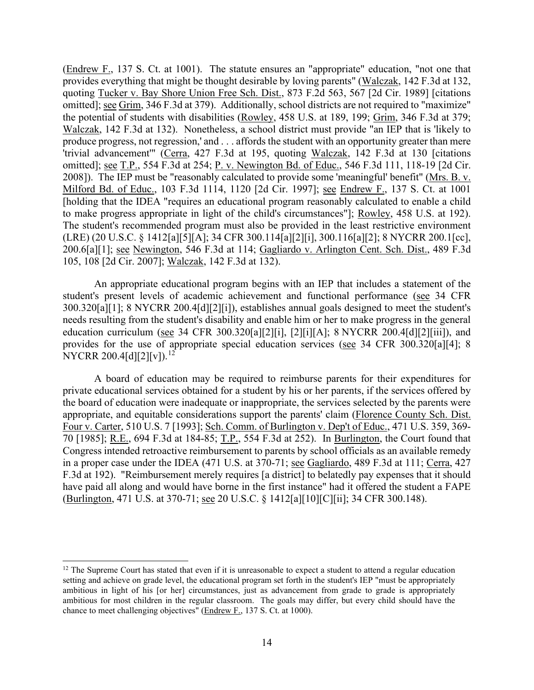produce progress, not regression,' and . . . affords the student with an opportunity greater than mere 200.6[a][1]; see Newington, 546 F.3d at 114; Gagliardo v. Arlington Cent. Sch. Dist., 489 F.3d (Endrew F., 137 S. Ct. at 1001). The statute ensures an "appropriate" education, "not one that provides everything that might be thought desirable by loving parents" (Walczak, 142 F.3d at 132, quoting Tucker v. Bay Shore Union Free Sch. Dist., 873 F.2d 563, 567 [2d Cir. 1989] [citations omitted]; see Grim, 346 F.3d at 379). Additionally, school districts are not required to "maximize" the potential of students with disabilities (Rowley, 458 U.S. at 189, 199; Grim, 346 F.3d at 379; Walczak, 142 F.3d at 132). Nonetheless, a school district must provide "an IEP that is 'likely to 'trivial advancement'" (Cerra, 427 F.3d at 195, quoting Walczak, 142 F.3d at 130 [citations omitted]; see T.P., 554 F.3d at 254; P. v. Newington Bd. of Educ., 546 F.3d 111, 118-19 [2d Cir. 2008]). The IEP must be "reasonably calculated to provide some 'meaningful' benefit" (Mrs. B. v. Milford Bd. of Educ., 103 F.3d 1114, 1120 [2d Cir. 1997]; see Endrew F., 137 S. Ct. at 1001 [holding that the IDEA "requires an educational program reasonably calculated to enable a child to make progress appropriate in light of the child's circumstances"]; Rowley, 458 U.S. at 192). The student's recommended program must also be provided in the least restrictive environment (LRE) (20 U.S.C. § 1412[a][5][A]; 34 CFR 300.114[a][2][i], 300.116[a][2]; 8 NYCRR 200.1[cc], 105, 108 [2d Cir. 2007]; Walczak, 142 F.3d at 132).

An appropriate educational program begins with an IEP that includes a statement of the student's present levels of academic achievement and functional performance (see 34 CFR 300.320[a][1]; 8 NYCRR 200.4[d][2][i]), establishes annual goals designed to meet the student's needs resulting from the student's disability and enable him or her to make progress in the general education curriculum (see 34 CFR 300.320[a][2][i], [2][i][A]; 8 NYCRR 200.4[d][2][iii]), and provides for the use of appropriate special education services (see 34 CFR 300.320[a][4]; 8 NYCRR 200.4[d][2][v]).<sup>[12](#page-13-0)</sup>

70 [1985]; R.E., 694 F.3d at 184-85; T.P., 554 F.3d at 252). In Burlington, the Court found that in a proper case under the IDEA (471 U.S. at 370-71; see Gagliardo, 489 F.3d at 111; Cerra, 427 (Burlington, 471 U.S. at 370-71; <u>see</u> 20 U.S.C. § 1412[a][10][C][ii]; 34 CFR 300.148). A board of education may be required to reimburse parents for their expenditures for private educational services obtained for a student by his or her parents, if the services offered by the board of education were inadequate or inappropriate, the services selected by the parents were appropriate, and equitable considerations support the parents' claim (Florence County Sch. Dist. Four v. Carter, 510 U.S. 7 [1993]; Sch. Comm. of Burlington v. Dep't of Educ., 471 U.S. 359, 369- Congress intended retroactive reimbursement to parents by school officials as an available remedy F.3d at 192). "Reimbursement merely requires [a district] to belatedly pay expenses that it should have paid all along and would have borne in the first instance" had it offered the student a FAPE

<span id="page-13-0"></span> ambitious in light of his [or her] circumstances, just as advancement from grade to grade is appropriately  $12$  The Supreme Court has stated that even if it is unreasonable to expect a student to attend a regular education setting and achieve on grade level, the educational program set forth in the student's IEP "must be appropriately ambitious for most children in the regular classroom. The goals may differ, but every child should have the chance to meet challenging objectives" (Endrew F., 137 S. Ct. at 1000).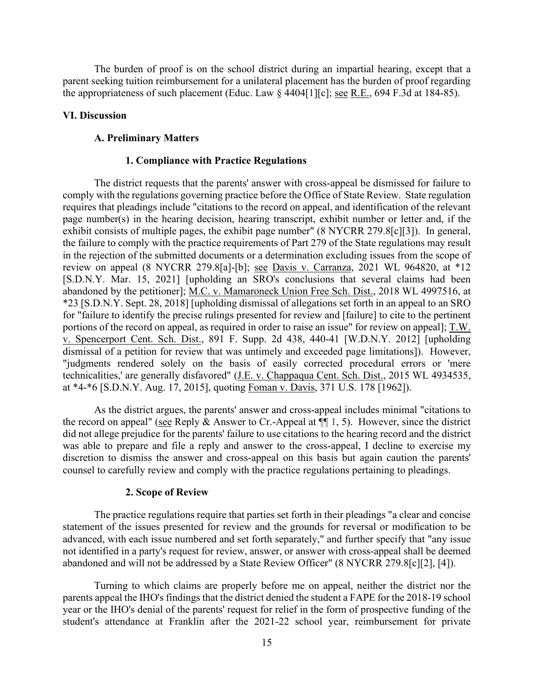the appropriateness of such placement (Educ. Law  $\S$  4404[1][c]; <u>see R.E.</u>, 694 F.3d at 184-85). The burden of proof is on the school district during an impartial hearing, except that a parent seeking tuition reimbursement for a unilateral placement has the burden of proof regarding

#### **VI. Discussion**

#### **A. Preliminary Matters**

# **1. Compliance with Practice Regulations**

 The district requests that the parents' answer with cross-appeal be dismissed for failure to requires that pleadings include "citations to the record on appeal, and identification of the relevant exhibit consists of multiple pages, the exhibit page number" (8 NYCRR 279.8[c][3]). In general, portions of the record on appeal, as required in order to raise an issue" for review on appeal]; T.W. dismissal of a petition for review that was untimely and exceeded page limitations]). However, at \*4-\*6 [S.D.N.Y. Aug. 17, 2015], quoting Foman v. Davis, 371 U.S. 178 [1962]). comply with the regulations governing practice before the Office of State Review. State regulation page number(s) in the hearing decision, hearing transcript, exhibit number or letter and, if the the failure to comply with the practice requirements of Part 279 of the State regulations may result in the rejection of the submitted documents or a determination excluding issues from the scope of review on appeal (8 NYCRR 279.8[a]-[b]; see Davis v. Carranza, 2021 WL 964820, at \*12 [S.D.N.Y. Mar. 15, 2021] [upholding an SRO's conclusions that several claims had been abandoned by the petitioner]; M.C. v. Mamaroneck Union Free Sch. Dist., 2018 WL 4997516, at \*23 [S.D.N.Y. Sept. 28, 2018] [upholding dismissal of allegations set forth in an appeal to an SRO for "failure to identify the precise rulings presented for review and [failure] to cite to the pertinent v. Spencerport Cent. Sch. Dist., 891 F. Supp. 2d 438, 440-41 [W.D.N.Y. 2012] [upholding "judgments rendered solely on the basis of easily corrected procedural errors or 'mere technicalities,' are generally disfavored" (J.E. v. Chappaqua Cent. Sch. Dist., 2015 WL 4934535,

the record on appeal" (see Reply & Answer to Cr.-Appeal at  $\P$  1, 5). However, since the district As the district argues, the parents' answer and cross-appeal includes minimal "citations to did not allege prejudice for the parents' failure to use citations to the hearing record and the district was able to prepare and file a reply and answer to the cross-appeal, I decline to exercise my discretion to dismiss the answer and cross-appeal on this basis but again caution the parents' counsel to carefully review and comply with the practice regulations pertaining to pleadings.

#### **2. Scope of Review**

 statement of the issues presented for review and the grounds for reversal or modification to be The practice regulations require that parties set forth in their pleadings "a clear and concise advanced, with each issue numbered and set forth separately," and further specify that "any issue not identified in a party's request for review, answer, or answer with cross-appeal shall be deemed abandoned and will not be addressed by a State Review Officer" (8 NYCRR 279.8[c][2], [4]).

Turning to which claims are properly before me on appeal, neither the district nor the parents appeal the IHO's findings that the district denied the student a FAPE for the 2018-19 school year or the IHO's denial of the parents' request for relief in the form of prospective funding of the student's attendance at Franklin after the 2021-22 school year, reimbursement for private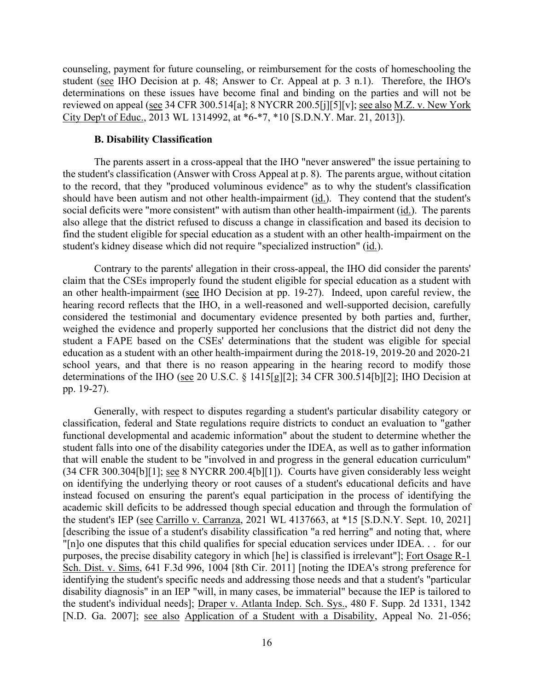counseling, payment for future counseling, or reimbursement for the costs of homeschooling the student (see IHO Decision at p. 48; Answer to Cr. Appeal at p. 3 n.1). Therefore, the IHO's reviewed on appeal (see 34 CFR 300.514[a]; 8 NYCRR 200.5[j][5][v]; <u>see also M.Z. v. New York</u> determinations on these issues have become final and binding on the parties and will not be City Dep't of Educ., 2013 WL 1314992, at \*6-\*7, \*10 [S.D.N.Y. Mar. 21, 2013]).

### **B. Disability Classification**

 The parents assert in a cross-appeal that the IHO "never answered" the issue pertaining to the student's classification (Answer with Cross Appeal at p. 8). The parents argue, without citation to the record, that they "produced voluminous evidence" as to why the student's classification should have been autism and not other health-impairment (*id.*). They contend that the student's social deficits were "more consistent" with autism than other health-impairment (id.). The parents also allege that the district refused to discuss a change in classification and based its decision to find the student eligible for special education as a student with an other health-impairment on the student's kidney disease which did not require "specialized instruction" (id.).

 Contrary to the parents' allegation in their cross-appeal, the IHO did consider the parents' an other health-impairment (see IHO Decision at pp. 19-27). Indeed, upon careful review, the weighed the evidence and properly supported her conclusions that the district did not deny the claim that the CSEs improperly found the student eligible for special education as a student with hearing record reflects that the IHO, in a well-reasoned and well-supported decision, carefully considered the testimonial and documentary evidence presented by both parties and, further, student a FAPE based on the CSEs' determinations that the student was eligible for special education as a student with an other health-impairment during the 2018-19, 2019-20 and 2020-21 school years, and that there is no reason appearing in the hearing record to modify those determinations of the IHO (see 20 U.S.C. § 1415[g][2]; 34 CFR 300.514[b][2]; IHO Decision at pp. 19-27).

 student falls into one of the disability categories under the IDEA, as well as to gather information Generally, with respect to disputes regarding a student's particular disability category or classification, federal and State regulations require districts to conduct an evaluation to "gather functional developmental and academic information" about the student to determine whether the that will enable the student to be "involved in and progress in the general education curriculum" (34 CFR 300.304[b][1]; see 8 NYCRR 200.4[b][1]). Courts have given considerably less weight on identifying the underlying theory or root causes of a student's educational deficits and have instead focused on ensuring the parent's equal participation in the process of identifying the academic skill deficits to be addressed though special education and through the formulation of the student's IEP (see Carrillo v. Carranza, 2021 WL 4137663, at \*15 [S.D.N.Y. Sept. 10, 2021] [describing the issue of a student's disability classification "a red herring" and noting that, where "[n]o one disputes that this child qualifies for special education services under IDEA. . . for our purposes, the precise disability category in which [he] is classified is irrelevant"]; Fort Osage R-1 Sch. Dist. v. Sims, 641 F.3d 996, 1004 [8th Cir. 2011] [noting the IDEA's strong preference for identifying the student's specific needs and addressing those needs and that a student's "particular disability diagnosis" in an IEP "will, in many cases, be immaterial" because the IEP is tailored to the student's individual needs]; Draper v. Atlanta Indep. Sch. Sys., 480 F. Supp. 2d 1331, 1342 [N.D. Ga. 2007]; see also Application of a Student with a Disability, Appeal No. 21-056;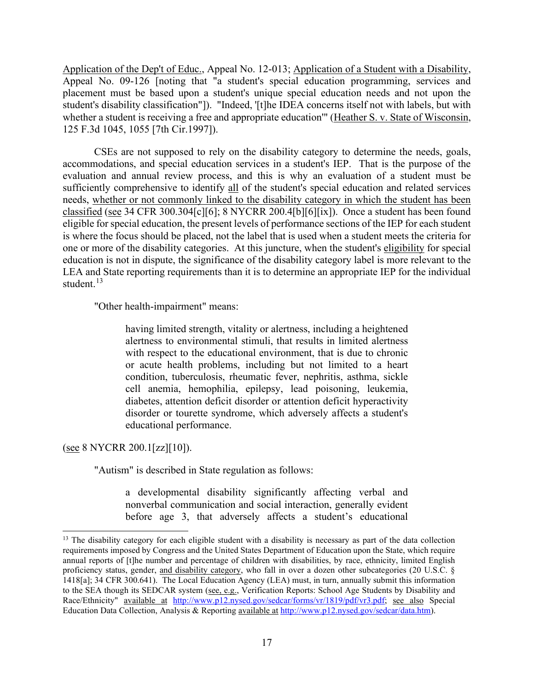Application of the Dep't of Educ., Appeal No. 12-013; Application of a Student with a Disability, Appeal No. 09-126 [noting that "a student's special education programming, services and placement must be based upon a student's unique special education needs and not upon the student's disability classification"]). "Indeed, '[t]he IDEA concerns itself not with labels, but with whether a student is receiving a free and appropriate education'" (Heather S. v. State of Wisconsin, 125 F.3d 1045, 1055 [7th Cir.1997]).

classified (see 34 CFR 300.304[c][6]; 8 NYCRR 200.4[b][6][ix]). Once a student has been found one or more of the disability categories. At this juncture, when the student's eligibility for special LEA and State reporting requirements than it is to determine an appropriate IEP for the individual CSEs are not supposed to rely on the disability category to determine the needs, goals, accommodations, and special education services in a student's IEP. That is the purpose of the evaluation and annual review process, and this is why an evaluation of a student must be sufficiently comprehensive to identify all of the student's special education and related services needs, whether or not commonly linked to the disability category in which the student has been eligible for special education, the present levels of performance sections of the IEP for each student is where the focus should be placed, not the label that is used when a student meets the criteria for education is not in dispute, the significance of the disability category label is more relevant to the student.<sup>[13](#page-16-0)</sup>

"Other health-impairment" means:

having limited strength, vitality or alertness, including a heightened alertness to environmental stimuli, that results in limited alertness with respect to the educational environment, that is due to chronic or acute health problems, including but not limited to a heart condition, tuberculosis, rheumatic fever, nephritis, asthma, sickle cell anemia, hemophilia, epilepsy, lead poisoning, leukemia, diabetes, attention deficit disorder or attention deficit hyperactivity disorder or tourette syndrome, which adversely affects a student's educational performance.

(see 8 NYCRR 200.1[zz][10]).

"Autism" is described in State regulation as follows:

a developmental disability significantly affecting verbal and nonverbal communication and social interaction, generally evident before age 3, that adversely affects a student's educational

<span id="page-16-0"></span><sup>&</sup>lt;sup>13</sup> The disability category for each eligible student with a disability is necessary as part of the data collection requirements imposed by Congress and the United States Department of Education upon the State, which require annual reports of [t]he number and percentage of children with disabilities, by race, ethnicity, limited English proficiency status, gender, and disability category, who fall in over a dozen other subcategories (20 U.S.C. § 1418[a]; 34 CFR 300.641). The Local Education Agency (LEA) must, in turn, annually submit this information to the SEA though its SEDCAR system (see, e.g., Verification Reports: School Age Students by Disability and Race/Ethnicity" available at [http://www.p12.nysed.gov/sedcar/forms/vr/1819/pdf/vr3.pdf;](http://www.p12.nysed.gov/sedcar/forms/vr/1819/pdf/vr3.pdf) see also Special Education Data Collection, Analysis & Reporting available a[t http://www.p12.nysed.gov/sedcar/data.htm\)](http://www.p12.nysed.gov/sedcar/data.htm).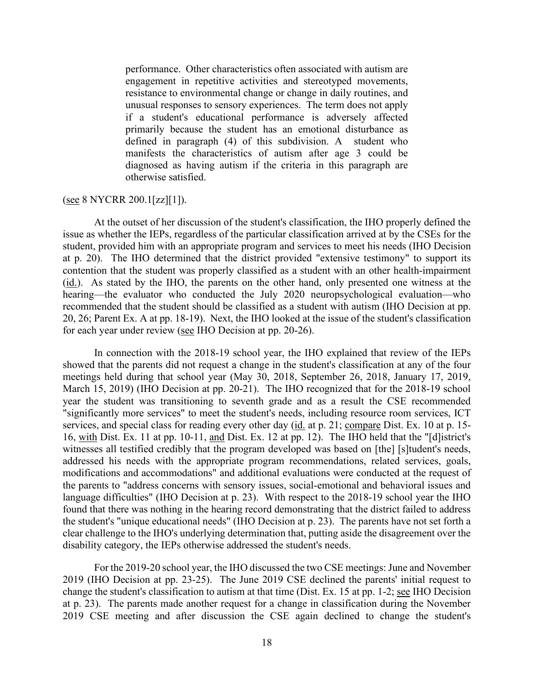defined in paragraph (4) of this subdivision. A student who performance. Other characteristics often associated with autism are engagement in repetitive activities and stereotyped movements, resistance to environmental change or change in daily routines, and unusual responses to sensory experiences. The term does not apply if a student's educational performance is adversely affected primarily because the student has an emotional disturbance as manifests the characteristics of autism after age 3 could be diagnosed as having autism if the criteria in this paragraph are otherwise satisfied.

#### $($ see 8 NYCRR 200.1[zz][1]).

 At the outset of her discussion of the student's classification, the IHO properly defined the student, provided him with an appropriate program and services to meet his needs (IHO Decision at p. 20). The IHO determined that the district provided "extensive testimony" to support its (id.). As stated by the IHO, the parents on the other hand, only presented one witness at the 20, 26; Parent Ex. A at pp. 18-19). Next, the IHO looked at the issue of the student's classification for each year under review (see IHO Decision at pp. 20-26). issue as whether the IEPs, regardless of the particular classification arrived at by the CSEs for the contention that the student was properly classified as a student with an other health-impairment hearing—the evaluator who conducted the July 2020 neuropsychological evaluation—who recommended that the student should be classified as a student with autism (IHO Decision at pp.

 In connection with the 2018-19 school year, the IHO explained that review of the IEPs showed that the parents did not request a change in the student's classification at any of the four March 15, 2019) (IHO Decision at pp. 20-21). The IHO recognized that for the 2018-19 school services, and special class for reading every other day (id. at p. 21; compare Dist. Ex. 10 at p. 15- 16, with Dist. Ex. 11 at pp. 10-11, and Dist. Ex. 12 at pp. 12). The IHO held that the "[d]istrict's language difficulties" (IHO Decision at p. 23). With respect to the 2018-19 school year the IHO the student's "unique educational needs" (IHO Decision at p. 23). The parents have not set forth a meetings held during that school year (May 30, 2018, September 26, 2018, January 17, 2019, year the student was transitioning to seventh grade and as a result the CSE recommended "significantly more services" to meet the student's needs, including resource room services, ICT witnesses all testified credibly that the program developed was based on [the] [s]tudent's needs, addressed his needs with the appropriate program recommendations, related services, goals, modifications and accommodations" and additional evaluations were conducted at the request of the parents to "address concerns with sensory issues, social-emotional and behavioral issues and found that there was nothing in the hearing record demonstrating that the district failed to address clear challenge to the IHO's underlying determination that, putting aside the disagreement over the disability category, the IEPs otherwise addressed the student's needs.

 2019 (IHO Decision at pp. 23-25). The June 2019 CSE declined the parents' initial request to change the student's classification to autism at that time (Dist. Ex. 15 at pp. 1-2; see IHO Decision at p. 23). The parents made another request for a change in classification during the November 2019 CSE meeting and after discussion the CSE again declined to change the student's For the 2019-20 school year, the IHO discussed the two CSE meetings: June and November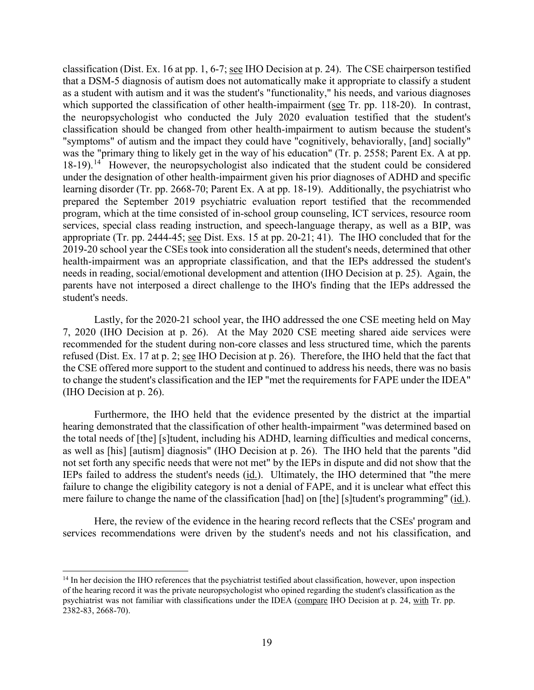classification (Dist. Ex. 16 at pp. 1, 6-7; see IHO Decision at p. 24). The CSE chairperson testified that a DSM-5 diagnosis of autism does not automatically make it appropriate to classify a student as a student with autism and it was the student's "functionality," his needs, and various diagnoses which supported the classification of other health-impairment (see Tr. pp. 118-20). In contrast, the neuropsychologist who conducted the July 2020 evaluation testified that the student's classification should be changed from other health-impairment to autism because the student's was the "primary thing to likely get in the way of his education" (Tr. p. 2558; Parent Ex. A at pp. 18-19).<sup>14</sup> However, the neuropsychologist also indicated that the student could be considered under the designation of other health-impairment given his prior diagnoses of ADHD and specific learning disorder (Tr. pp. 2668-70; Parent Ex. A at pp. 18-19). Additionally, the psychiatrist who program, which at the time consisted of in-school group counseling, ICT services, resource room needs in reading, social/emotional development and attention (IHO Decision at p. 25). Again, the "symptoms" of autism and the impact they could have "cognitively, behaviorally, [and] socially" prepared the September 2019 psychiatric evaluation report testified that the recommended services, special class reading instruction, and speech-language therapy, as well as a BIP, was appropriate (Tr. pp. 2444-45; see Dist. Exs. 15 at pp. 20-21; 41). The IHO concluded that for the 2019-20 school year the CSEs took into consideration all the student's needs, determined that other health-impairment was an appropriate classification, and that the IEPs addressed the student's parents have not interposed a direct challenge to the IHO's finding that the IEPs addressed the student's needs.

 Lastly, for the 2020-21 school year, the IHO addressed the one CSE meeting held on May 7, 2020 (IHO Decision at p. 26). At the May 2020 CSE meeting shared aide services were refused (Dist. Ex. 17 at p. 2; see IHO Decision at p. 26). Therefore, the IHO held that the fact that to change the student's classification and the IEP "met the requirements for FAPE under the IDEA" recommended for the student during non-core classes and less structured time, which the parents the CSE offered more support to the student and continued to address his needs, there was no basis (IHO Decision at p. 26).

 not set forth any specific needs that were not met" by the IEPs in dispute and did not show that the IEPs failed to address the student's needs (id.). Ultimately, the IHO determined that "the mere Furthermore, the IHO held that the evidence presented by the district at the impartial hearing demonstrated that the classification of other health-impairment "was determined based on the total needs of [the] [s]tudent, including his ADHD, learning difficulties and medical concerns, as well as [his] [autism] diagnosis" (IHO Decision at p. 26). The IHO held that the parents "did failure to change the eligibility category is not a denial of FAPE, and it is unclear what effect this mere failure to change the name of the classification [had] on [the] [s]tudent's programming" (id.).

 services recommendations were driven by the student's needs and not his classification, and Here, the review of the evidence in the hearing record reflects that the CSEs' program and

<span id="page-18-0"></span><sup>&</sup>lt;sup>14</sup> In her decision the IHO references that the psychiatrist testified about classification, however, upon inspection of the hearing record it was the private neuropsychologist who opined regarding the student's classification as the psychiatrist was not familiar with classifications under the IDEA (compare IHO Decision at p. 24, with Tr. pp. 2382-83, 2668-70).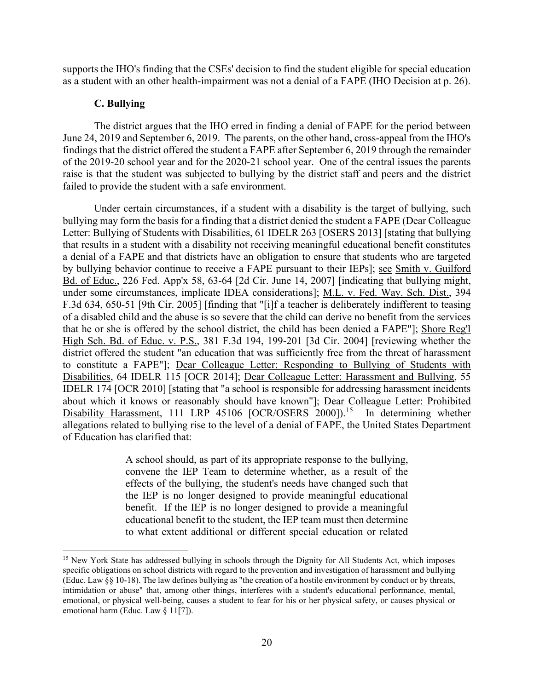supports the IHO's finding that the CSEs' decision to find the student eligible for special education as a student with an other health-impairment was not a denial of a FAPE (IHO Decision at p. 26).

## **C. Bullying**

 The district argues that the IHO erred in finding a denial of FAPE for the period between June 24, 2019 and September 6, 2019. The parents, on the other hand, cross-appeal from the IHO's findings that the district offered the student a FAPE after September 6, 2019 through the remainder of the 2019-20 school year and for the 2020-21 school year. One of the central issues the parents raise is that the student was subjected to bullying by the district staff and peers and the district failed to provide the student with a safe environment.

that he or she is offered by the school district, the child has been denied a FAPE"]; Shore Reg'l Disability Harassment, 111 LRP 45106 [OCR/OSERS 2000]).<sup>[15](#page-19-0)</sup> In determining whether Under certain circumstances, if a student with a disability is the target of bullying, such bullying may form the basis for a finding that a district denied the student a FAPE (Dear Colleague Letter: Bullying of Students with Disabilities, 61 IDELR 263 [OSERS 2013] [stating that bullying that results in a student with a disability not receiving meaningful educational benefit constitutes a denial of a FAPE and that districts have an obligation to ensure that students who are targeted by bullying behavior continue to receive a FAPE pursuant to their IEPs]; see Smith v. Guilford Bd. of Educ., 226 Fed. App'x 58, 63-64 [2d Cir. June 14, 2007] [indicating that bullying might, under some circumstances, implicate IDEA considerations]; M.L. v. Fed. Way. Sch. Dist., 394 F.3d 634, 650-51 [9th Cir. 2005] [finding that "[i]f a teacher is deliberately indifferent to teasing of a disabled child and the abuse is so severe that the child can derive no benefit from the services High Sch. Bd. of Educ. v. P.S., 381 F.3d 194, 199-201 [3d Cir. 2004] [reviewing whether the district offered the student "an education that was sufficiently free from the threat of harassment to constitute a FAPE"]; Dear Colleague Letter: Responding to Bullying of Students with Disabilities, 64 IDELR 115 [OCR 2014]; Dear Colleague Letter: Harassment and Bullying, 55 IDELR 174 [OCR 2010] [stating that "a school is responsible for addressing harassment incidents about which it knows or reasonably should have known"]; Dear Colleague Letter: Prohibited allegations related to bullying rise to the level of a denial of FAPE, the United States Department of Education has clarified that:

> A school should, as part of its appropriate response to the bullying, convene the IEP Team to determine whether, as a result of the effects of the bullying, the student's needs have changed such that the IEP is no longer designed to provide meaningful educational benefit. If the IEP is no longer designed to provide a meaningful educational benefit to the student, the IEP team must then determine to what extent additional or different special education or related

<span id="page-19-0"></span> specific obligations on school districts with regard to the prevention and investigation of harassment and bullying intimidation or abuse" that, among other things, interferes with a student's educational performance, mental, emotional, or physical well-being, causes a student to fear for his or her physical safety, or causes physical or <sup>15</sup> New York State has addressed bullying in schools through the Dignity for All Students Act, which imposes (Educ. Law §§ 10-18). The law defines bullying as "the creation of a hostile environment by conduct or by threats, emotional harm (Educ. Law § 11[7]).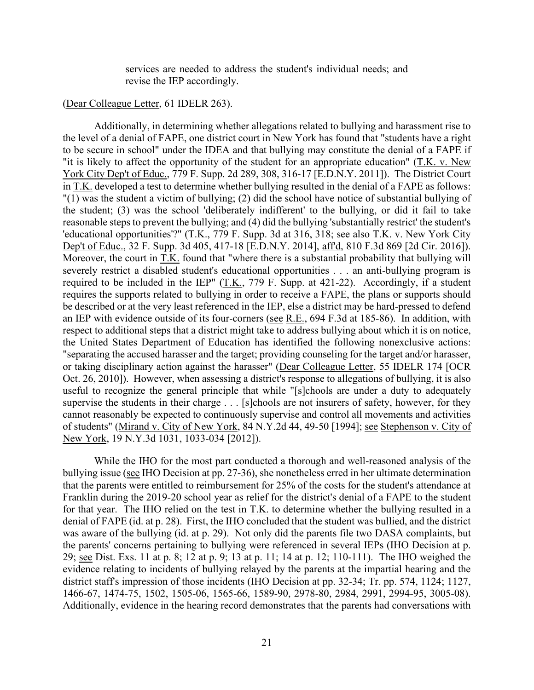services are needed to address the student's individual needs; and revise the IEP accordingly.

#### (Dear Colleague Letter, 61 IDELR 263).

Dep't of Educ., 32 F. Supp. 3d 405, 417-18 [E.D.N.Y. 2014], aff'd, 810 F.3d 869 [2d Cir. 2016]). Additionally, in determining whether allegations related to bullying and harassment rise to the level of a denial of FAPE, one district court in New York has found that "students have a right to be secure in school" under the IDEA and that bullying may constitute the denial of a FAPE if "it is likely to affect the opportunity of the student for an appropriate education" (T.K. v. New York City Dep't of Educ., 779 F. Supp. 2d 289, 308, 316-17 [E.D.N.Y. 2011]). The District Court in T.K. developed a test to determine whether bullying resulted in the denial of a FAPE as follows: "(1) was the student a victim of bullying; (2) did the school have notice of substantial bullying of the student; (3) was the school 'deliberately indifferent' to the bullying, or did it fail to take reasonable steps to prevent the bullying; and (4) did the bullying 'substantially restrict' the student's 'educational opportunities'?" (T.K., 779 F. Supp. 3d at 316, 318; see also T.K. v. New York City Moreover, the court in T.K. found that "where there is a substantial probability that bullying will severely restrict a disabled student's educational opportunities . . . an anti-bullying program is required to be included in the IEP" (T.K., 779 F. Supp. at 421-22). Accordingly, if a student requires the supports related to bullying in order to receive a FAPE, the plans or supports should be described or at the very least referenced in the IEP, else a district may be hard-pressed to defend an IEP with evidence outside of its four-corners (see R.E., 694 F.3d at 185-86). In addition, with respect to additional steps that a district might take to address bullying about which it is on notice, the United States Department of Education has identified the following nonexclusive actions: "separating the accused harasser and the target; providing counseling for the target and/or harasser, or taking disciplinary action against the harasser" (Dear Colleague Letter, 55 IDELR 174 [OCR Oct. 26, 2010]). However, when assessing a district's response to allegations of bullying, it is also useful to recognize the general principle that while "[s]chools are under a duty to adequately supervise the students in their charge . . . [s]chools are not insurers of safety, however, for they cannot reasonably be expected to continuously supervise and control all movements and activities of students" (Mirand v. City of New York, 84 N.Y.2d 44, 49-50 [1994]; see Stephenson v. City of New York, 19 N.Y.3d 1031, 1033-034 [2012]).

 Franklin during the 2019-20 school year as relief for the district's denial of a FAPE to the student denial of FAPE (id. at p. 28). First, the IHO concluded that the student was bullied, and the district was aware of the bullying (*id.* at p. 29). Not only did the parents file two DASA complaints, but 29; <u>see</u> Dist. Exs. 11 at p. 8; 12 at p. 9; 13 at p. 11; 14 at p. 12; 110-111). The IHO weighed the evidence relating to incidents of bullying relayed by the parents at the impartial hearing and the district staff's impression of those incidents (IHO Decision at pp. 32-34; Tr. pp. 574, 1124; 1127, 1466-67, 1474-75, 1502, 1505-06, 1565-66, 1589-90, 2978-80, 2984, 2991, 2994-95, 3005-08). While the IHO for the most part conducted a thorough and well-reasoned analysis of the bullying issue (see IHO Decision at pp. 27-36), she nonetheless erred in her ultimate determination that the parents were entitled to reimbursement for 25% of the costs for the student's attendance at for that year. The IHO relied on the test in T.K. to determine whether the bullying resulted in a the parents' concerns pertaining to bullying were referenced in several IEPs (IHO Decision at p. Additionally, evidence in the hearing record demonstrates that the parents had conversations with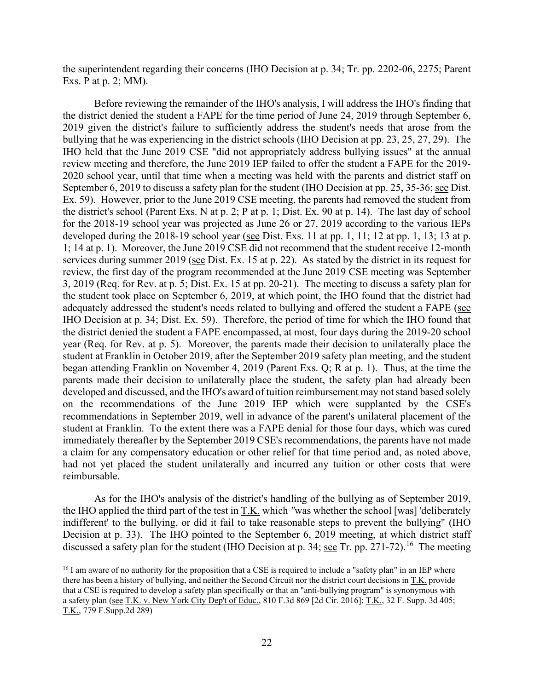the superintendent regarding their concerns (IHO Decision at p. 34; Tr. pp. 2202-06, 2275; Parent Exs. P at p. 2; MM).

 Before reviewing the remainder of the IHO's analysis, I will address the IHO's finding that bullying that he was experiencing in the district schools (IHO Decision at pp. 23, 25, 27, 29). The IHO held that the June 2019 CSE "did not appropriately address bullying issues" at the annual 2020 school year, until that time when a meeting was held with the parents and district staff on September 6, 2019 to discuss a safety plan for the student (IHO Decision at pp. 25, 35-36; see Dist. Ex. 59). However, prior to the June 2019 CSE meeting, the parents had removed the student from for the 2018-19 school year was projected as June 26 or 27, 2019 according to the various IEPs 3, 2019 (Req. for Rev. at p. 5; Dist. Ex. 15 at pp. 20-21). The meeting to discuss a safety plan for year (Req. for Rev. at p. 5). Moreover, the parents made their decision to unilaterally place the student at Franklin in October 2019, after the September 2019 safety plan meeting, and the student began attending Franklin on November 4, 2019 (Parent Exs. Q; R at p. 1). Thus, at the time the student at Franklin. To the extent there was a FAPE denial for those four days, which was cured a claim for any compensatory education or other relief for that time period and, as noted above, the district denied the student a FAPE for the time period of June 24, 2019 through September 6, 2019 given the district's failure to sufficiently address the student's needs that arose from the review meeting and therefore, the June 2019 IEP failed to offer the student a FAPE for the 2019 the district's school (Parent Exs. N at p. 2; P at p. 1; Dist. Ex. 90 at p. 14). The last day of school developed during the 2018-19 school year (see Dist. Exs. 11 at pp. 1, 11; 12 at pp. 1, 13; 13 at p. 1; 14 at p. 1). Moreover, the June 2019 CSE did not recommend that the student receive 12-month services during summer 2019 (see Dist. Ex. 15 at p. 22). As stated by the district in its request for review, the first day of the program recommended at the June 2019 CSE meeting was September the student took place on September 6, 2019, at which point, the IHO found that the district had adequately addressed the student's needs related to bullying and offered the student a FAPE (see IHO Decision at p. 34; Dist. Ex. 59). Therefore, the period of time for which the IHO found that the district denied the student a FAPE encompassed, at most, four days during the 2019-20 school parents made their decision to unilaterally place the student, the safety plan had already been developed and discussed, and the IHO's award of tuition reimbursement may not stand based solely on the recommendations of the June 2019 IEP which were supplanted by the CSE's recommendations in September 2019, well in advance of the parent's unilateral placement of the immediately thereafter by the September 2019 CSE's recommendations, the parents have not made had not yet placed the student unilaterally and incurred any tuition or other costs that were reimbursable.

 the IHO applied the third part of the test in T.K. which *"*was whether the school [was] 'deliberately Decision at p. 33). The IHO pointed to the September 6, 2019 meeting, at which district staff discussed a safety plan for the student (IHO Decision at p. 34; see Tr. pp. 271-72).<sup>[16](#page-21-0)</sup> The meeting As for the IHO's analysis of the district's handling of the bullying as of September 2019, indifferent' to the bullying, or did it fail to take reasonable steps to prevent the bullying" (IHO

<span id="page-21-0"></span>there has been a history of bullying, and neither the Second Circuit nor the district court decisions in T.K. provide <sup>16</sup> I am aware of no authority for the proposition that a CSE is required to include a "safety plan" in an IEP where that a CSE is required to develop a safety plan specifically or that an "anti-bullying program" is synonymous with a safety plan (see T.K. v. New York City Dep't of Educ., 810 F.3d 869 [2d Cir. 2016]; T.K., 32 F. Supp. 3d 405; T.K., 779 [F.Supp.2d](https://F.Supp.2d) 289)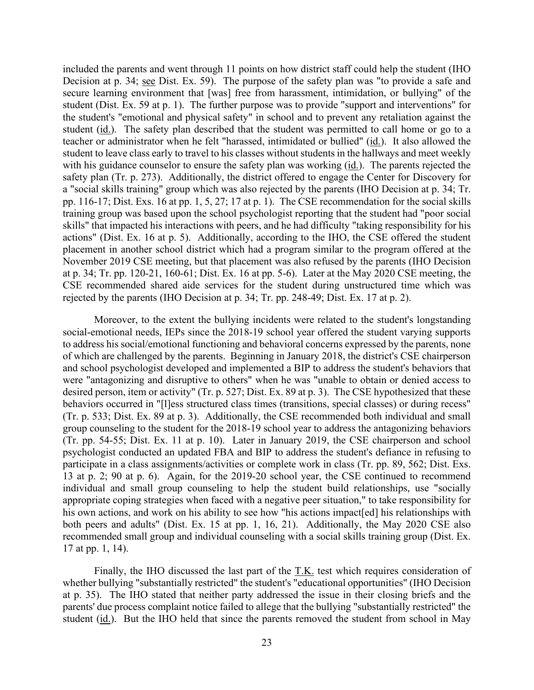student (id.). The safety plan described that the student was permitted to call home or go to a with his guidance counselor to ensure the safety plan was working (*id.*). The parents rejected the pp. 116-17; Dist. Exs. 16 at pp. 1, 5, 27; 17 at p. 1). The CSE recommendation for the social skills skills" that impacted his interactions with peers, and he had difficulty "taking responsibility for his actions" (Dist. Ex. 16 at p. 5). Additionally, according to the IHO, the CSE offered the student placement in another school district which had a program similar to the program offered at the November 2019 CSE meeting, but that placement was also refused by the parents (IHO Decision at p. 34; Tr. pp. 120-21, 160-61; Dist. Ex. 16 at pp. 5-6). Later at the May 2020 CSE meeting, the rejected by the parents (IHO Decision at p. 34; Tr. pp. 248-49; Dist. Ex. 17 at p. 2). included the parents and went through 11 points on how district staff could help the student (IHO Decision at p. 34; see Dist. Ex. 59). The purpose of the safety plan was "to provide a safe and secure learning environment that [was] free from harassment, intimidation, or bullying" of the student (Dist. Ex. 59 at p. 1). The further purpose was to provide "support and interventions" for the student's "emotional and physical safety" in school and to prevent any retaliation against the teacher or administrator when he felt "harassed, intimidated or bullied" (id.). It also allowed the student to leave class early to travel to his classes without students in the hallways and meet weekly safety plan (Tr. p. 273). Additionally, the district offered to engage the Center for Discovery for a "social skills training" group which was also rejected by the parents (IHO Decision at p. 34; Tr. training group was based upon the school psychologist reporting that the student had "poor social CSE recommended shared aide services for the student during unstructured time which was

 desired person, item or activity" (Tr. p. 527; Dist. Ex. 89 at p. 3). The CSE hypothesized that these (Tr. p. 533; Dist. Ex. 89 at p. 3). Additionally, the CSE recommended both individual and small (Tr. pp. 54-55; Dist. Ex. 11 at p. 10). Later in January 2019, the CSE chairperson and school psychologist conducted an updated FBA and BIP to address the student's defiance in refusing to 13 at p. 2; 90 at p. 6). Again, for the 2019-20 school year, the CSE continued to recommend his own actions, and work on his ability to see how "his actions impact[ed] his relationships with both peers and adults" (Dist. Ex. 15 at pp. 1, 16, 21). Additionally, the May 2020 CSE also 17 at pp. 1, 14). Moreover, to the extent the bullying incidents were related to the student's longstanding social-emotional needs, IEPs since the 2018-19 school year offered the student varying supports to address his social/emotional functioning and behavioral concerns expressed by the parents, none of which are challenged by the parents. Beginning in January 2018, the district's CSE chairperson and school psychologist developed and implemented a BIP to address the student's behaviors that were "antagonizing and disruptive to others" when he was "unable to obtain or denied access to behaviors occurred in "[l]ess structured class times (transitions, special classes) or during recess" group counseling to the student for the 2018-19 school year to address the antagonizing behaviors participate in a class assignments/activities or complete work in class (Tr. pp. 89, 562; Dist. Exs. individual and small group counseling to help the student build relationships, use "socially appropriate coping strategies when faced with a negative peer situation," to take responsibility for recommended small group and individual counseling with a social skills training group (Dist. Ex.

Finally, the IHO discussed the last part of the T.K. test which requires consideration of whether bullying "substantially restricted" the student's "educational opportunities" (IHO Decision at p. 35). The IHO stated that neither party addressed the issue in their closing briefs and the parents' due process complaint notice failed to allege that the bullying "substantially restricted" the student (id.). But the IHO held that since the parents removed the student from school in May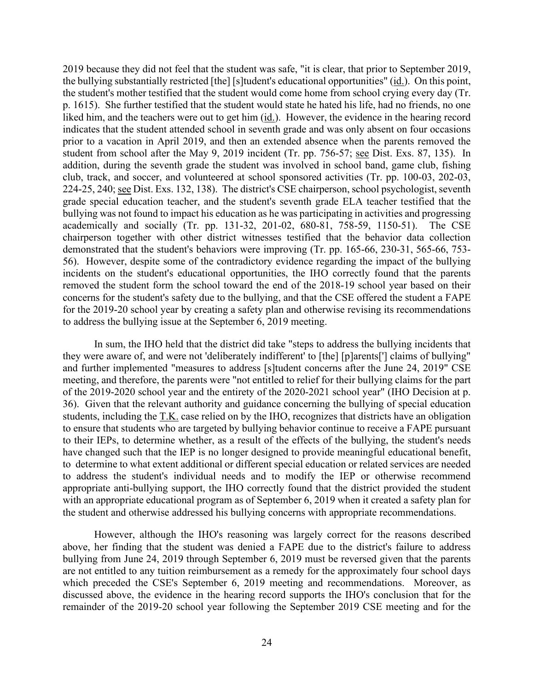the bullying substantially restricted [the] [s]tudent's educational opportunities" (id.). On this point, p. 1615). She further testified that the student would state he hated his life, had no friends, no one liked him, and the teachers were out to get him (*id.*). However, the evidence in the hearing record student from school after the May 9, 2019 incident (Tr. pp. 756-57; see Dist. Exs. 87, 135). In 224-25, 240; <u>see</u> Dist. Exs. 132, 138). The district's CSE chairperson, school psychologist, seventh academically and socially (Tr. pp. 131-32, 201-02, 680-81, 758-59, 1150-51). The CSE 56). However, despite some of the contradictory evidence regarding the impact of the bullying 2019 because they did not feel that the student was safe, "it is clear, that prior to September 2019, the student's mother testified that the student would come home from school crying every day (Tr. indicates that the student attended school in seventh grade and was only absent on four occasions prior to a vacation in April 2019, and then an extended absence when the parents removed the addition, during the seventh grade the student was involved in school band, game club, fishing club, track, and soccer, and volunteered at school sponsored activities (Tr. pp. 100-03, 202-03, grade special education teacher, and the student's seventh grade ELA teacher testified that the bullying was not found to impact his education as he was participating in activities and progressing chairperson together with other district witnesses testified that the behavior data collection demonstrated that the student's behaviors were improving (Tr. pp. 165-66, 230-31, 565-66, 753 incidents on the student's educational opportunities, the IHO correctly found that the parents removed the student form the school toward the end of the 2018-19 school year based on their concerns for the student's safety due to the bullying, and that the CSE offered the student a FAPE for the 2019-20 school year by creating a safety plan and otherwise revising its recommendations to address the bullying issue at the September 6, 2019 meeting.

 and further implemented "measures to address [s]tudent concerns after the June 24, 2019" CSE 36). Given that the relevant authority and guidance concerning the bullying of special education to address the student's individual needs and to modify the IEP or otherwise recommend In sum, the IHO held that the district did take "steps to address the bullying incidents that they were aware of, and were not 'deliberately indifferent' to [the] [p]arents['] claims of bullying" meeting, and therefore, the parents were "not entitled to relief for their bullying claims for the part of the 2019-2020 school year and the entirety of the 2020-2021 school year" (IHO Decision at p. students, including the T.K. case relied on by the IHO, recognizes that districts have an obligation to ensure that students who are targeted by bullying behavior continue to receive a FAPE pursuant to their IEPs, to determine whether, as a result of the effects of the bullying, the student's needs have changed such that the IEP is no longer designed to provide meaningful educational benefit, to determine to what extent additional or different special education or related services are needed appropriate anti-bullying support, the IHO correctly found that the district provided the student with an appropriate educational program as of September 6, 2019 when it created a safety plan for the student and otherwise addressed his bullying concerns with appropriate recommendations.

However, although the IHO's reasoning was largely correct for the reasons described above, her finding that the student was denied a FAPE due to the district's failure to address bullying from June 24, 2019 through September 6, 2019 must be reversed given that the parents are not entitled to any tuition reimbursement as a remedy for the approximately four school days which preceded the CSE's September 6, 2019 meeting and recommendations. Moreover, as discussed above, the evidence in the hearing record supports the IHO's conclusion that for the remainder of the 2019-20 school year following the September 2019 CSE meeting and for the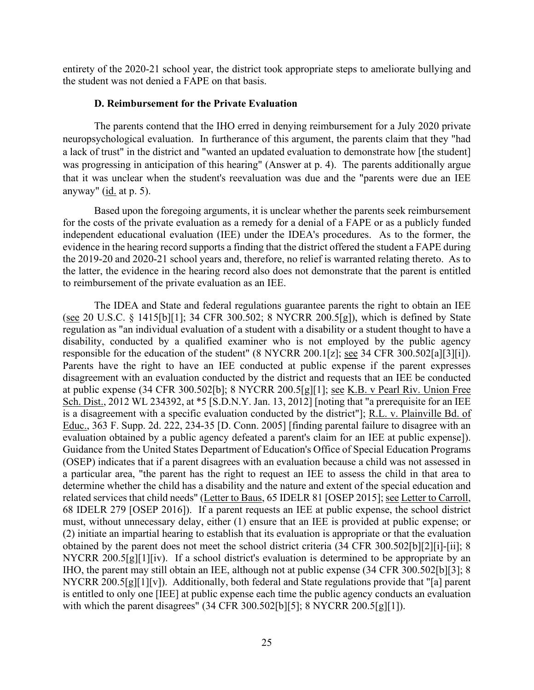entirety of the 2020-21 school year, the district took appropriate steps to ameliorate bullying and the student was not denied a FAPE on that basis.

## **D. Reimbursement for the Private Evaluation**

 The parents contend that the IHO erred in denying reimbursement for a July 2020 private was progressing in anticipation of this hearing" (Answer at p. 4). The parents additionally argue that it was unclear when the student's reevaluation was due and the "parents were due an IEE anyway" (*id.* at p. 5). neuropsychological evaluation. In furtherance of this argument, the parents claim that they "had a lack of trust" in the district and "wanted an updated evaluation to demonstrate how [the student]

Based upon the foregoing arguments, it is unclear whether the parents seek reimbursement for the costs of the private evaluation as a remedy for a denial of a FAPE or as a publicly funded independent educational evaluation (IEE) under the IDEA's procedures. As to the former, the evidence in the hearing record supports a finding that the district offered the student a FAPE during the 2019-20 and 2020-21 school years and, therefore, no relief is warranted relating thereto. As to the latter, the evidence in the hearing record also does not demonstrate that the parent is entitled to reimbursement of the private evaluation as an IEE.

responsible for the education of the student" (8 NYCRR 200.1[z]; <u>see</u> 34 CFR 300.502[a][3][i]). Sch. Dist., 2012 WL 234392, at \*5 [S.D.N.Y. Jan. 13, 2012] [noting that "a prerequisite for an IEE (OSEP) indicates that if a parent disagrees with an evaluation because a child was not assessed in a particular area, "the parent has the right to request an IEE to assess the child in that area to related services that child needs" (Letter to Baus, 65 IDELR 81 [OSEP 2015]; see Letter to Carroll, NYCRR 200.5[g][1][iv). If a school district's evaluation is determined to be appropriate by an The IDEA and State and federal regulations guarantee parents the right to obtain an IEE (see 20 U.S.C. § 1415[b][1]; 34 CFR 300.502; 8 NYCRR 200.5[g]), which is defined by State regulation as "an individual evaluation of a student with a disability or a student thought to have a disability, conducted by a qualified examiner who is not employed by the public agency Parents have the right to have an IEE conducted at public expense if the parent expresses disagreement with an evaluation conducted by the district and requests that an IEE be conducted at public expense (34 CFR 300.502[b]; 8 NYCRR 200.5[g][1]; see K.B. v Pearl Riv. Union Free is a disagreement with a specific evaluation conducted by the district"]; R.L. v. Plainville Bd. of Educ., 363 F. Supp. 2d. 222, 234-35 [D. Conn. 2005] [finding parental failure to disagree with an evaluation obtained by a public agency defeated a parent's claim for an IEE at public expense]). Guidance from the United States Department of Education's Office of Special Education Programs determine whether the child has a disability and the nature and extent of the special education and 68 IDELR 279 [OSEP 2016]). If a parent requests an IEE at public expense, the school district must, without unnecessary delay, either (1) ensure that an IEE is provided at public expense; or (2) initiate an impartial hearing to establish that its evaluation is appropriate or that the evaluation obtained by the parent does not meet the school district criteria (34 CFR 300.502[b][2][i]-[ii]; 8 IHO, the parent may still obtain an IEE, although not at public expense (34 CFR 300.502[b][3]; 8 NYCRR 200.5[g][1][v]). Additionally, both federal and State regulations provide that "[a] parent is entitled to only one [IEE] at public expense each time the public agency conducts an evaluation with which the parent disagrees" (34 CFR 300.502[b][5]; 8 NYCRR 200.5[g][1]).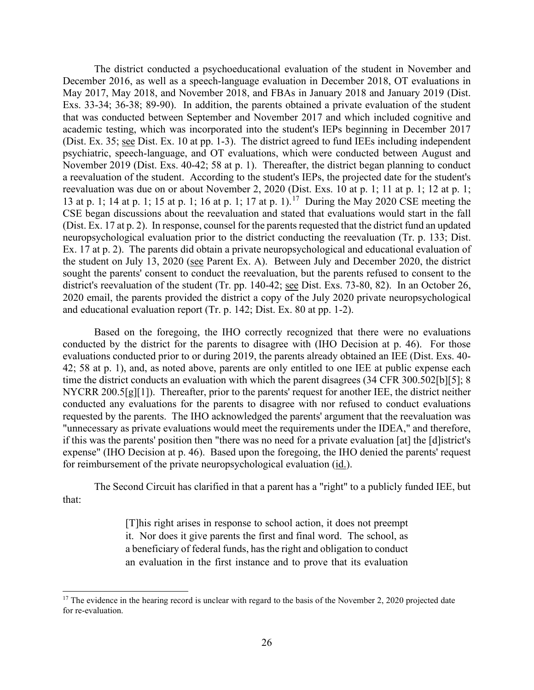December 2016, as well as a speech-language evaluation in December 2018, OT evaluations in May 2017, May 2018, and November 2018, and FBAs in January 2018 and January 2019 (Dist. Exs. 33-34; 36-38; 89-90). In addition, the parents obtained a private evaluation of the student (Dist. Ex. 35; see Dist. Ex. 10 at pp. 1-3). The district agreed to fund IEEs including independent a reevaluation of the student. According to the student's IEPs, the projected date for the student's 13 at p. 1; 14 at p. 1; 15 at p. 1; 16 at p. 1; [17](#page-25-0) at p. 1).<sup>17</sup> During the May 2020 CSE meeting the district's reevaluation of the student (Tr. pp. 140-42; <u>see</u> Dist. Exs. 73-80, 82). In an October 26, 2020 email, the parents provided the district a copy of the July 2020 private neuropsychological and educational evaluation report (Tr. p. 142; Dist. Ex. 80 at pp. 1-2). The district conducted a psychoeducational evaluation of the student in November and that was conducted between September and November 2017 and which included cognitive and academic testing, which was incorporated into the student's IEPs beginning in December 2017 psychiatric, speech-language, and OT evaluations, which were conducted between August and November 2019 (Dist. Exs. 40-42; 58 at p. 1). Thereafter, the district began planning to conduct reevaluation was due on or about November 2, 2020 (Dist. Exs. 10 at p. 1; 11 at p. 1; 12 at p. 1; CSE began discussions about the reevaluation and stated that evaluations would start in the fall (Dist. Ex. 17 at p. 2). In response, counsel for the parents requested that the district fund an updated neuropsychological evaluation prior to the district conducting the reevaluation (Tr. p. 133; Dist. Ex. 17 at p. 2). The parents did obtain a private neuropsychological and educational evaluation of the student on July 13, 2020 (see Parent Ex. A). Between July and December 2020, the district sought the parents' consent to conduct the reevaluation, but the parents refused to consent to the

 conducted by the district for the parents to disagree with (IHO Decision at p. 46). For those time the district conducts an evaluation with which the parent disagrees (34 CFR 300.502[b][5]; 8 NYCRR 200.5[g][1]). Thereafter, prior to the parents' request for another IEE, the district neither requested by the parents. The IHO acknowledged the parents' argument that the reevaluation was if this was the parents' position then "there was no need for a private evaluation [at] the [d]istrict's for reimbursement of the private neuropsychological evaluation (id.). Based on the foregoing, the IHO correctly recognized that there were no evaluations evaluations conducted prior to or during 2019, the parents already obtained an IEE (Dist. Exs. 40- 42; 58 at p. 1), and, as noted above, parents are only entitled to one IEE at public expense each conducted any evaluations for the parents to disagree with nor refused to conduct evaluations "unnecessary as private evaluations would meet the requirements under the IDEA," and therefore, expense" (IHO Decision at p. 46). Based upon the foregoing, the IHO denied the parents' request

 The Second Circuit has clarified in that a parent has a "right" to a publicly funded IEE, but that:

> [T]his right arises in response to school action, it does not preempt it. Nor does it give parents the first and final word. The school, as a beneficiary of federal funds, has the right and obligation to conduct an evaluation in the first instance and to prove that its evaluation

<span id="page-25-0"></span> $17$  The evidence in the hearing record is unclear with regard to the basis of the November 2, 2020 projected date for re-evaluation.